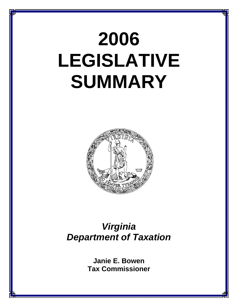# **2006 LEGISLATIVE SUMMARY**



## *Virginia Department of Taxation*

**Janie E. Bowen Tax Commissioner**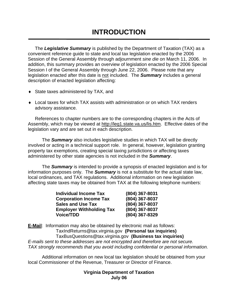The *Legislative Summary* is published by the Department of Taxation (TAX) as a convenient reference guide to state and local tax legislation enacted by the 2006 Session of the General Assembly through adjournment *sine die* on March 11, 2006. In addition, this summary provides an overview of legislation enacted by the 2006 Special Session I of the General Assembly through June 22, 2006. Please note that any legislation enacted after this date is not included. The *Summary* includes a general description of enacted legislation affecting:

- ♦ State taxes administered by TAX, and
- ♦ Local taxes for which TAX assists with administration or on which TAX renders advisory assistance.

References to chapter numbers are to the corresponding chapters in the Acts of Assembly, which may be viewed at http://leg1.state.va.us/lis.htm. Effective dates of the legislation vary and are set out in each description.

 The *Summary* also includes legislative studies in which TAX will be directly involved or acting in a technical support role. In general, however, legislation granting property tax exemptions, creating special taxing jurisdictions or affecting taxes administered by other state agencies is not included in the *Summary*.

 The *Summary* is intended to provide a synopsis of enacted legislation and is for information purposes only. The *Summary* is not a substitute for the actual state law, local ordinances, and TAX regulations. Additional information on new legislation affecting state taxes may be obtained from TAX at the following telephone numbers:

| <b>Individual Income Tax</b>    | (804) 367-8031 |
|---------------------------------|----------------|
| <b>Corporation Income Tax</b>   | (804) 367-8037 |
| <b>Sales and Use Tax</b>        | (804) 367-8037 |
| <b>Employer Withholding Tax</b> | (804) 367-8037 |
| <b>Voice/TDD</b>                | (804) 367-8329 |

**E-Mail**: Information may also be obtained by electronic mail as follows: TaxIndReturns@tax.virginia.gov **(Personal tax inquiries)** TaxBusQuestions@tax.virginia.gov **(Business tax inquiries)**  *E-mails sent to these addresses are not encrypted and therefore are not secure. TAX strongly recommends that you avoid including confidential or personal information.*

 Additional information on new local tax legislation should be obtained from your local Commissioner of the Revenue, Treasurer or Director of Finance.

#### **Virginia Department of Taxation July 06**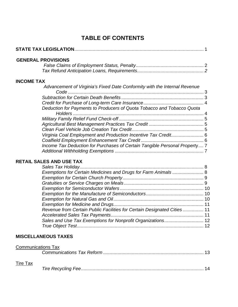### **TABLE OF CONTENTS**

| <b>GENERAL PROVISIONS</b>                                                                      |  |
|------------------------------------------------------------------------------------------------|--|
| <b>INCOME TAX</b><br>Advancement of Virginia's Fixed Date Conformity with the Internal Revenue |  |
| Code                                                                                           |  |
|                                                                                                |  |
|                                                                                                |  |
| Deduction for Payments to Producers of Quota Tobacco and Tobacco Quota                         |  |
|                                                                                                |  |
|                                                                                                |  |
|                                                                                                |  |
| Virginia Coal Employment and Production Incentive Tax Credit 6                                 |  |
|                                                                                                |  |
| Income Tax Deduction for Purchases of Certain Tangible Personal Property 7                     |  |
|                                                                                                |  |
| <b>RETAIL SALES AND USE TAX</b>                                                                |  |
|                                                                                                |  |

| Revenue from Certain Public Facilities for Certain Designated Cities  11 |  |
|--------------------------------------------------------------------------|--|
|                                                                          |  |
|                                                                          |  |
|                                                                          |  |
|                                                                          |  |

#### **MISCELLANEOUS TAXES**

|                 | <b>Communications Tax</b> |  |
|-----------------|---------------------------|--|
|                 |                           |  |
| <b>Tire Tax</b> |                           |  |

|--|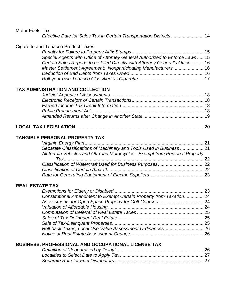| <b>Motor Fuels Tax</b> |                                                                                                                                                      |  |
|------------------------|------------------------------------------------------------------------------------------------------------------------------------------------------|--|
|                        | Effective Date for Sales Tax in Certain Transportation Districts 14                                                                                  |  |
|                        | <b>Cigarette and Tobacco Product Taxes</b>                                                                                                           |  |
|                        |                                                                                                                                                      |  |
|                        | Special Agents with Office of Attorney General Authorized to Enforce Laws  15                                                                        |  |
|                        | Certain Sales Reports to be Filed Directly with Attorney General's Office 16                                                                         |  |
|                        | Master Settlement Agreement: Nonparticipating Manufacturers  16                                                                                      |  |
|                        |                                                                                                                                                      |  |
|                        | TAX ADMINISTRATION AND COLLECTION                                                                                                                    |  |
|                        |                                                                                                                                                      |  |
|                        |                                                                                                                                                      |  |
|                        |                                                                                                                                                      |  |
|                        |                                                                                                                                                      |  |
|                        |                                                                                                                                                      |  |
|                        |                                                                                                                                                      |  |
|                        | <b>TANGIBLE PERSONAL PROPERTY TAX</b>                                                                                                                |  |
|                        |                                                                                                                                                      |  |
|                        | Separate Classifications of Machinery and Tools Used in Business  21<br>All-terrain Vehicles and Off-road Motorcycles: Exempt from Personal Property |  |
|                        |                                                                                                                                                      |  |
|                        |                                                                                                                                                      |  |
|                        |                                                                                                                                                      |  |
|                        |                                                                                                                                                      |  |
| <b>REAL ESTATE TAX</b> |                                                                                                                                                      |  |
|                        |                                                                                                                                                      |  |
|                        | Constitutional Amendment to Exempt Certain Property from Taxation 24                                                                                 |  |
|                        |                                                                                                                                                      |  |
|                        |                                                                                                                                                      |  |
|                        |                                                                                                                                                      |  |

*Sale of Tax-Delinquent Properties......................................................................* 25 *Roll-back Taxes; Local Use Value Assessment Ordinances ..............................* 26 *Notice of Real Estate Assessment Change*........................................................ 26

*Definition of "Jeopardized by Delay"*................................................................... 26 *Localities to Select Date to Apply Tax ................................................................* 27 *Separate Rate for Fuel Distributors ....................................................................* 27

**BUSINESS, PROFESSIONAL AND OCCUPATIONAL LICENSE TAX**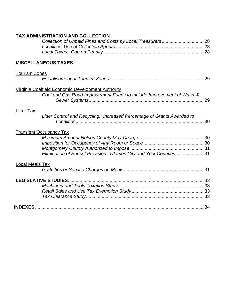| <b>TAX ADMINISTRATION AND COLLECTION</b>                                |
|-------------------------------------------------------------------------|
|                                                                         |
|                                                                         |
|                                                                         |
|                                                                         |
| <b>MISCELLANEOUS TAXES</b>                                              |
| <b>Tourism Zones</b>                                                    |
|                                                                         |
|                                                                         |
| <b>Virginia Coalfield Economic Development Authority</b>                |
| Coal and Gas Road Improvement Funds to Include Improvement of Water &   |
|                                                                         |
|                                                                         |
| <b>Litter Tax</b>                                                       |
| Litter Control and Recycling: Increased Percentage of Grants Awarded to |
|                                                                         |
|                                                                         |
| <b>Transient Occupancy Tax</b>                                          |
|                                                                         |
|                                                                         |
|                                                                         |
| Elimination of Sunset Provision in James City and York Counties  31     |
|                                                                         |
| <b>Local Meals Tax</b>                                                  |
|                                                                         |
|                                                                         |
|                                                                         |
|                                                                         |
|                                                                         |
|                                                                         |
|                                                                         |
|                                                                         |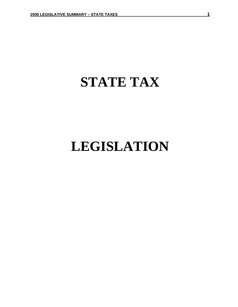## **STATE TAX**

## **LEGISLATION**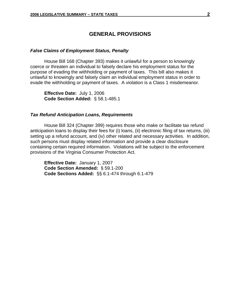#### **GENERAL PROVISIONS**

#### *False Claims of Employment Status, Penalty*

House Bill 168 (Chapter 393) makes it unlawful for a person to knowingly coerce or threaten an individual to falsely declare his employment status for the purpose of evading the withholding or payment of taxes. This bill also makes it unlawful to knowingly and falsely claim an individual employment status in order to evade the withholding or payment of taxes. A violation is a Class 1 misdemeanor.

**Effective Date:** July 1, 2006 **Code Section Added:** § 58.1-485.1

#### *Tax Refund Anticipation Loans, Requirements*

 House Bill 324 (Chapter 399) requires those who make or facilitate tax refund anticipation loans to display their fees for (i) loans, (ii) electronic filing of tax returns, (iii) setting up a refund account, and (iv) other related and necessary activities. In addition, such persons must display related information and provide a clear disclosure containing certain required information. Violations will be subject to the enforcement provisions of the Virginia Consumer Protection Act.

**Effective Date:** January 1, 2007 **Code Section Amended:** § 59.1-200 **Code Sections Added:** §§ 6.1-474 through 6.1-479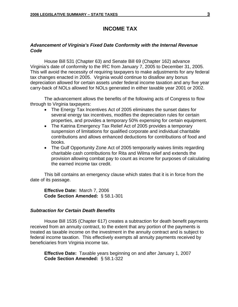#### **INCOME TAX**

#### *Advancement of Virginia's Fixed Date Conformity with the Internal Revenue Code*

House Bill 531 (Chapter 63) and Senate Bill 69 (Chapter 162) advance Virginia's date of conformity to the IRC from January 7, 2005 to December 31, 2005. This will avoid the necessity of requiring taxpayers to make adjustments for any federal tax changes enacted in 2005. Virginia would continue to disallow any bonus depreciation allowed for certain assets under federal income taxation and any five year carry-back of NOLs allowed for NOLs generated in either taxable year 2001 or 2002.

The advancement allows the benefits of the following acts of Congress to flow through to Virginia taxpayers:

- The Energy Tax Incentives Act of 2005 eliminates the sunset dates for several energy tax incentives, modifies the depreciation rules for certain properties, and provides a temporary 50% expensing for certain equipment.
- The Katrina Emergency Tax Relief Act of 2005 provides a temporary suspension of limitations for qualified corporate and individual charitable contributions and allows enhanced deductions for contributions of food and books.
- The Gulf Opportunity Zone Act of 2005 temporarily waives limits regarding charitable cash contributions for Rita and Wilma relief and extends the provision allowing combat pay to count as income for purposes of calculating the earned income tax credit.

This bill contains an emergency clause which states that it is in force from the date of its passage.

**Effective Date:** March 7, 2006 **Code Section Amended:** § 58.1-301

#### *Subtraction for Certain Death Benefits*

House Bill 1535 (Chapter 617) creates a subtraction for death benefit payments received from an annuity contract, to the extent that any portion of the payments is treated as taxable income on the investment in the annuity contract and is subject to federal income taxation. This effectively exempts all annuity payments received by beneficiaries from Virginia income tax.

**Effective Date:** Taxable years beginning on and after January 1, 2007 **Code Section Amended:** § 58.1-322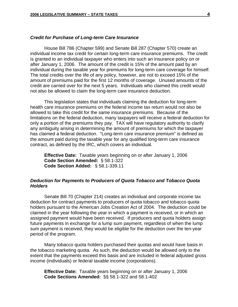#### *Credit for Purchase of Long-term Care Insurance*

House Bill 786 (Chapter 599) and Senate Bill 287 (Chapter 570) create an individual income tax credit for certain long-term care insurance premiums. The credit is granted to an individual taxpayer who enters into such an insurance policy on or after January 1, 2006. The amount of the credit is 15% of the amount paid by an individual during the taxable year for premiums for long-term care coverage for himself. The total credits over the life of any policy, however, are not to exceed 15% of the amount of premiums paid for the first 12 months of coverage. Unused amounts of the credit are carried over for the next 5 years. Individuals who claimed this credit would not also be allowed to claim the long-term care insurance deduction.

This legislation states that individuals claiming the deduction for long-term health care insurance premiums on the federal income tax return would not also be allowed to take this credit for the same insurance premiums. Because of the limitations on the federal deduction, many taxpayers will receive a federal deduction for only a portion of the premiums they pay. TAX will have regulatory authority to clarify any ambiguity arising in determining the amount of premiums for which the taxpayer has claimed a federal deduction. "Long-term care insurance premium" is defined as the amount paid during the taxable year for any qualified long-term care insurance contract, as defined by the IRC, which covers an individual.

**Effective Date:** Taxable years beginning on or after January 1, 2006 **Code Section Amended:**§ 58.1-322 **Code Section Added:** § 58.1-339.11

#### *Deduction for Payments to Producers of Quota Tobacco and Tobacco Quota Holders*

Senate Bill 70 (Chapter 214) creates an individual and corporate income tax deduction for contract payments to producers of quota tobacco and tobacco quota holders pursuant to the American Jobs Creation Act of 2004. The deduction could be claimed in the year following the year in which a payment is received, or in which an assigned payment would have been received. If producers and quota holders assign future payments in exchange for a lump sum payment, regardless of when the lump sum payment is received, they would be eligible for the deduction over the ten-year period of the program.

Many tobacco quota holders purchased their quotas and would have basis in the tobacco marketing quota. As such, the deduction would be allowed only to the extent that the payments exceed this basis and are included in federal adjusted gross income (individuals) or federal taxable income (corporations).

**Effective Date:** Taxable years beginning on or after January 1, 2006 **Code Sections Amended:** §§ 58.1-322 and 58.1-402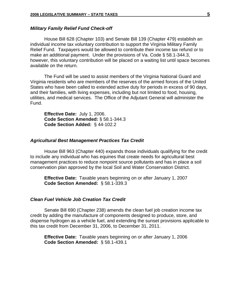#### *Military Family Relief Fund Check-off*

House Bill 628 (Chapter 103) and Senate Bill 139 (Chapter 479) establish an individual income tax voluntary contribution to support the Virginia Military Family Relief Fund. Taxpayers would be allowed to contribute their income tax refund or to make an additional payment. Under the provisions of Va. Code § 58.1-344.3, however, this voluntary contribution will be placed on a waiting list until space becomes available on the return.

The Fund will be used to assist members of the Virginia National Guard and Virginia residents who are members of the reserves of the armed forces of the United States who have been called to extended active duty for periods in excess of 90 days, and their families, with living expenses, including but not limited to food, housing, utilities, and medical services. The Office of the Adjutant General will administer the Fund.

**Effective Date:** July 1, 2006. **Code Section Amended:** § 58.1-344.3 **Code Section Added:** § 44-102.2

#### *Agricultural Best Management Practices Tax Credit*

House Bill 963 (Chapter 440) expands those individuals qualifying for the credit to include any individual who has equines that create needs for agricultural best management practices to reduce nonpoint source pollutants and has in place a soil conservation plan approved by the local Soil and Water Conservation District.

**Effective Date:** Taxable years beginning on or after January 1, 2007 **Code Section Amended:** § 58.1-339.3

#### *Clean Fuel Vehicle Job Creation Tax Credit*

Senate Bill 690 (Chapter 238) amends the clean fuel job creation income tax credit by adding the manufacture of components designed to produce, store, and dispense hydrogen as a vehicle fuel, and extending the sunset provisions applicable to this tax credit from December 31, 2006, to December 31, 2011.

**Effective Date:** Taxable years beginning on or after January 1, 2006 **Code Section Amended:** § 58.1-439.1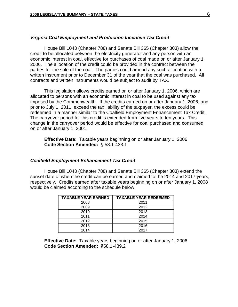#### *Virginia Coal Employment and Production Incentive Tax Credit*

House Bill 1043 (Chapter 788) and Senate Bill 365 (Chapter 803) allow the credit to be allocated between the electricity generator and any person with an economic interest in coal, effective for purchases of coal made on or after January 1, 2006. The allocation of the credit could be provided in the contract between the parties for the sale of the coal. The parties could amend any such allocation with a written instrument prior to December 31 of the year that the coal was purchased. All contracts and written instruments would be subject to audit by TAX.

This legislation allows credits earned on or after January 1, 2006, which are allocated to persons with an economic interest in coal to be used against any tax imposed by the Commonwealth. If the credits earned on or after January 1, 2006, and prior to July 1, 2011, exceed the tax liability of the taxpayer, the excess could be redeemed in a manner similar to the Coalfield Employment Enhancement Tax Credit. The carryover period for this credit is extended from five years to ten years. This change in the carryover period would be effective for coal purchased and consumed on or after January 1, 2001.

**Effective Date:** Taxable years beginning on or after January 1, 2006 **Code Section Amended:** § 58.1-433.1

#### *Coalfield Employment Enhancement Tax Credit*

House Bill 1043 (Chapter 788) and Senate Bill 365 (Chapter 803) extend the sunset date of when the credit can be earned and claimed to the 2014 and 2017 years, respectively. Credits earned after taxable years beginning on or after January 1, 2008 would be claimed according to the schedule below.

| <b>TAXABLE YEAR EARNED</b> | <b>TAXABLE YEAR REDEEMED</b> |
|----------------------------|------------------------------|
| 2008                       | 2011                         |
| 2009                       | 2012                         |
| 2010                       | 2013                         |
| 2011                       | 2014                         |
| 2012                       | 2015                         |
| 2013                       | 2016                         |
| 2014                       | 2017                         |

 **Effective Date:** Taxable years beginning on or after January 1, 2006 **Code Section Amended:** §58.1-439.2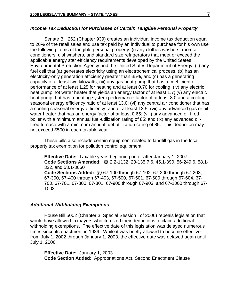#### *Income Tax Deduction for Purchases of Certain Tangible Personal Property*

 Senate Bill 262 (Chapter 939) creates an individual income tax deduction equal to 20% of the retail sales and use tax paid by an individual to purchase for his own use the following items of tangible personal property: (i) any clothes washers, room air conditioners, dishwashers, and standard size refrigerators that meet or exceed the applicable energy star efficiency requirements developed by the United States Environmental Protection Agency and the United States Department of Energy; (ii) any fuel cell that (a) generates electricity using an electrochemical process, (b) has an electricity-only generation efficiency greater than 35%, and (c) has a generating capacity of at least two kilowatts; (iii) any gas heat pump that has a coefficient of performance of at least 1.25 for heating and at least 0.70 for cooling; (iv) any electric heat pump hot water heater that yields an energy factor of at least 1.7; (v) any electric heat pump that has a heating system performance factor of at least 8.0 and a cooling seasonal energy efficiency ratio of at least 13.0; (vi) any central air conditioner that has a cooling seasonal energy efficiency ratio of at least 13.5; (vii) any advanced gas or oil water heater that has an energy factor of at least 0.65; (viii) any advanced oil-fired boiler with a minimum annual fuel-utilization rating of 85; and (ix) any advanced oilfired furnace with a minimum annual fuel-utilization rating of 85. This deduction may not exceed \$500 in each taxable year.

 These bills also include certain equipment related to landfill gas in the local property tax exemption for pollution control equipment.

**Effective Date:** Taxable years beginning on or after January 1, 2007 **Code Sections Amended:** §§ 2.2-1132, 23-135.7:6, 45.1-390, 56-249.6, 58.1- 322, and 58.1-3660 **Code Sections Added:** §§ 67-100 through 67-102, 67-200 through 67-203, 67-300, 67-400 through 67-403, 67-500, 67-501, 67-600 through 67-604, 67- 700, 67-701, 67-800, 67-801, 67-900 through 67-903, and 67-1000 through 67- 1003

#### *Additional Withholding Exemptions*

House Bill 5002 (Chapter 3, Special Session I of 2006) repeals legislation that would have allowed taxpayers who itemized their deductions to claim additional withholding exemptions. The effective date of this legislation was delayed numerous times since its enactment in 1989. While it was briefly allowed to become effective from July 1, 2002 through January 1, 2003, the effective date was delayed again until July 1, 2006.

**Effective Date:** January 1, 2003 **Code Section Added:** Appropriations Act, Second Enactment Clause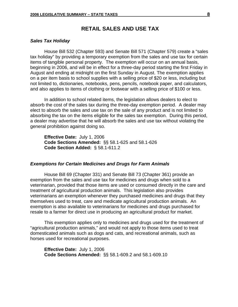#### **RETAIL SALES AND USE TAX**

#### *Sales Tax Holiday*

House Bill 532 (Chapter 593) and Senate Bill 571 (Chapter 579) create a "sales tax holiday" by providing a temporary exemption from the sales and use tax for certain items of tangible personal property. The exemption will occur on an annual basis, beginning in 2006, and will be in effect for a three-day period starting the first Friday in August and ending at midnight on the first Sunday in August. The exemption applies on a per item basis to school supplies with a selling price of \$20 or less, including but not limited to, dictionaries, notebooks, pens, pencils, notebook paper, and calculators, and also applies to items of clothing or footwear with a selling price of \$100 or less.

In addition to school related items, the legislation allows dealers to elect to absorb the cost of the sales tax during the three-day exemption period. A dealer may elect to absorb the sales and use tax on the sale of any product and is not limited to absorbing the tax on the items eligible for the sales tax exemption. During this period, a dealer may advertise that he will absorb the sales and use tax without violating the general prohibition against doing so.

**Effective Date:** July 1, 2006  **Code Sections Amended:** §§ 58.1-625 and 58.1-626 **Code Section Added:** § 58.1-611.2

#### *Exemptions for Certain Medicines and Drugs for Farm Animals*

House Bill 69 (Chapter 331) and Senate Bill 73 (Chapter 361) provide an exemption from the sales and use tax for medicines and drugs when sold to a veterinarian, provided that those items are used or consumed directly in the care and treatment of agricultural production animals. This legislation also provides veterinarians an exemption whenever they purchased medicines and drugs that they themselves used to treat, care and medicate agricultural production animals. An exemption is also available to veterinarians for medicines and drugs purchased for resale to a farmer for direct use in producing an agricultural product for market.

This exemption applies only to medicines and drugs used for the treatment of "agricultural production animals," and would not apply to those items used to treat domesticated animals such as dogs and cats, and recreational animals, such as horses used for recreational purposes.

**Effective Date:** July 1, 2006 **Code Sections Amended:** §§ 58.1-609.2 and 58.1-609.10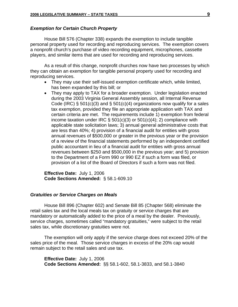#### *Exemption for Certain Church Property*

House Bill 576 (Chapter 338) expands the exemption to include tangible personal property used for recording and reproducing services. The exemption covers a nonprofit church's purchase of video recording equipment, microphones, cassette players, and similar items that are used for recording and reproducing services.

As a result of this change, nonprofit churches now have two processes by which they can obtain an exemption for tangible personal property used for recording and reproducing services.

- They may use their self-issued exemption certificate which, while limited, has been expanded by this bill; or
- They may apply to TAX for a broader exemption. Under legislation enacted during the 2003 Virginia General Assembly session, all Internal Revenue Code (IRC)  $\S$  501(c)(3) and  $\S$  501(c)(4) organizations now qualify for a sales tax exemption, provided they file an appropriate application with TAX and certain criteria are met. The requirements include 1) exemption from federal income taxation under IRC  $\S$  501(c)(3) or 501(c)(4); 2) compliance with applicable state solicitation laws; 3) annual general administrative costs that are less than 40%; 4) provision of a financial audit for entities with gross annual revenues of \$500,000 or greater in the previous year or the provision of a review of the financial statements performed by an independent certified public accountant in lieu of a financial audit for entities with gross annual revenues between \$250 and \$500,000 in the previous year; and 5) provision to the Department of a Form 990 or 990 EZ if such a form was filed, or provision of a list of the Board of Directors if such a form was not filed.

**Effective Date:** July 1, 2006 **Code Sections Amended:** § 58.1-609.10

#### *Gratuities or Service Charges on Meals*

House Bill 896 (Chapter 602) and Senate Bill 85 (Chapter 568) eliminate the retail sales tax and the local meals tax on gratuity or service charges that are mandatory or automatically added to the price of a meal by the dealer. Previously, service charges, sometimes called "mandatory gratuities," were subject to the retail sales tax, while discretionary gratuities were not.

The exemption will only apply if the service charge does not exceed 20% of the sales price of the meal. Those service charges in excess of the 20% cap would remain subject to the retail sales and use tax.

**Effective Date:** July 1, 2006 **Code Sections Amended:** §§ 58.1-602, 58.1-3833, and 58.1-3840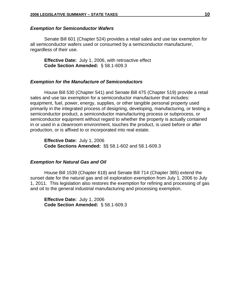#### *Exemption for Semiconductor Wafers*

Senate Bill 601 (Chapter 524) provides a retail sales and use tax exemption for all semiconductor wafers used or consumed by a semiconductor manufacturer, regardless of their use.

**Effective Date:** July 1, 2006, with retroactive effect **Code Section Amended:** § 58.1-609.3

#### *Exemption for the Manufacture of Semiconductors*

House Bill 530 (Chapter 541) and Senate Bill 475 (Chapter 519) provide a retail sales and use tax exemption for a semiconductor manufacturer that includes: equipment, fuel, power, energy, supplies, or other tangible personal property used primarily in the integrated process of designing, developing, manufacturing, or testing a semiconductor product, a semiconductor manufacturing process or subprocess, or semiconductor equipment without regard to whether the property is actually contained in or used in a cleanroom environment, touches the product, is used before or after production, or is affixed to or incorporated into real estate.

**Effective Date:** July 1, 2006 **Code Sections Amended:** §§ 58.1-602 and 58.1-609.3

#### *Exemption for Natural Gas and Oil*

 House Bill 1539 (Chapter 618) and Senate Bill 714 (Chapter 385) extend the sunset date for the natural gas and oil exploration exemption from July 1, 2006 to July 1, 2011. This legislation also restores the exemption for refining and processing of gas and oil to the general industrial manufacturing and processing exemption.

**Effective Date:** July 1, 2006 **Code Section Amended:** § 58.1-609.3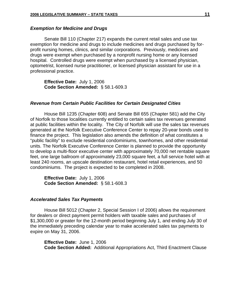#### *Exemption for Medicine and Drugs*

 Senate Bill 110 (Chapter 217) expands the current retail sales and use tax exemption for medicine and drugs to include medicines and drugs purchased by forprofit nursing homes, clinics, and similar corporations. Previously, medicines and drugs were exempt when purchased by a nonprofit nursing home or any licensed hospital. Controlled drugs were exempt when purchased by a licensed physician, optometrist, licensed nurse practitioner, or licensed physician assistant for use in a professional practice.

**Effective Date:** July 1, 2006 **Code Section Amended:** § 58.1-609.3

#### *Revenue from Certain Public Facilities for Certain Designated Cities*

 House Bill 1235 (Chapter 608) and Senate Bill 655 (Chapter 581) add the City of Norfolk to those localities currently entitled to certain sales tax revenues generated at public facilities within the locality. The City of Norfolk will use the sales tax revenues generated at the Norfolk Executive Conference Center to repay 20-year bonds used to finance the project. This legislation also amends the definition of what constitutes a "public facility" to exclude residential condominiums, townhomes, and other residential units. The Norfolk Executive Conference Center is planned to provide the opportunity to develop a multi-floor executive center with approximately 70,000 net rentable square feet, one large ballroom of approximately 23,000 square feet, a full service hotel with at least 240 rooms, an upscale destination restaurant, hotel retail experiences, and 50 condominiums. The project is expected to be completed in 2008.

**Effective Date:** July 1, 2006 **Code Section Amended:** § 58.1-608.3

#### *Accelerated Sales Tax Payments*

 House Bill 5012 (Chapter 2, Special Session I of 2006) allows the requirement for dealers or direct payment permit holders with taxable sales and purchases of \$1,300,000 or greater for the 12-month period beginning July 1, and ending July 30 of the immediately preceding calendar year to make accelerated sales tax payments to expire on May 31, 2006.

**Effective Date:** June 1, 2006 **Code Section Added:** Additional Appropriations Act, Third Enactment Clause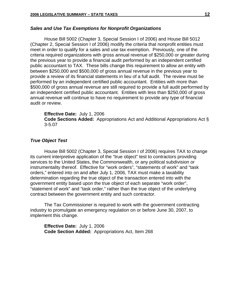#### *Sales and Use Tax Exemptions for Nonprofit Organizations*

House Bill 5002 (Chapter 3, Special Session I of 2006) and House Bill 5012 (Chapter 2, Special Session I of 2006) modify the criteria that nonprofit entities must meet in order to qualify for a sales and use tax exemption. Previously, one of the criteria required organizations with gross annual revenue of \$250,000 or greater during the previous year to provide a financial audit performed by an independent certified public accountant to TAX. These bills change this requirement to allow an entity with between \$250,000 and \$500,000 of gross annual revenue in the previous year to provide a review of its financial statements in lieu of a full audit. The review must be performed by an independent certified public accountant. Entities with more than \$500,000 of gross annual revenue are still required to provide a full audit performed by an independent certified public accountant. Entities with less than \$250,000 of gross annual revenue will continue to have no requirement to provide any type of financial audit or review.

#### **Effective Date:** July 1, 2006

**Code Sections Added:** Appropriations Act and Additional Appropriations Act § 3-5.07

#### *True Object Test*

 House Bill 5002 (Chapter 3, Special Session I of 2006) requires TAX to change its current interpretive application of the "true object" test to contractors providing services to the United States, the Commonwealth, or any political subdivision or instrumentality thereof. Effective for "work orders", "statements of work" and "task orders," entered into on and after July 1, 2006, TAX must make a taxability determination regarding the true object of the transaction entered into with the government entity based upon the true object of each separate "work order", "statement of work" and "task order," rather than the true object of the underlying contract between the government entity and such contractor.

The Tax Commissioner is required to work with the government contracting industry to promulgate an emergency regulation on or before June 30, 2007, to implement this change.

**Effective Date:** July 1, 2006 **Code Section Added:** Appropriations Act, Item 268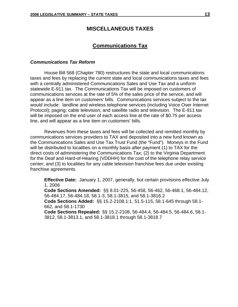#### **MISCELLANEOUS TAXES**

#### **Communications Tax**

#### *Communications Tax Reform*

 House Bill 568 (Chapter 780) restructures the state and local communications taxes and fees by replacing the current state and local communications taxes and fees with a centrally administered Communications Sales and Use Tax and a uniform statewide E-911 tax. The Communications Tax will be imposed on customers of communications services at the rate of 5% of the sales price of the service, and will appear as a line item on customers' bills. Communications services subject to the tax would include: landline and wireless telephone services (including Voice Over Internet Protocol); paging; cable television; and satellite radio and television. The E-911 tax will be imposed on the end user of each access line at the rate of \$0.75 per access line, and will appear as a line item on customers' bills.

Revenues from these taxes and fees will be collected and remitted monthly by communications services providers to TAX and deposited into a new fund known as the Communications Sales and Use Tax Trust Fund (the "Fund"). Moneys in the Fund will be distributed to localities on a monthly basis after payment (1) to TAX for the direct costs of administering the Communications Tax; (2) to the Virginia Department for the Deaf and Hard-of-Hearing (VDDHH) for the cost of the telephone relay service center; and (3) to localities for any cable television franchise fees due under existing franchise agreements.

**Effective Date:** January 1, 2007, generally, but certain provisions effective July 1, 2006

**Code Sections Amended:** §§ 8.01-225, 56-458, 56-462, 56-468.1, 56-484.12, 56-484.17, 56-484.18, 58.1-3, 58.1-3815, and 58.1-3816.2

**Code Sections Added:** §§ 15.2-2108.1:1, 51.5-115, 58.1-645 through 58.1- 662, and 58.1-1730

**Code Sections Repealed:** §§ 15.2-2108, 56-484.4, 56-484.5, 56-484.6, 58.1- 3812, 58.1-3813.1, and 58.1-3818.1 through 58.1-3818.7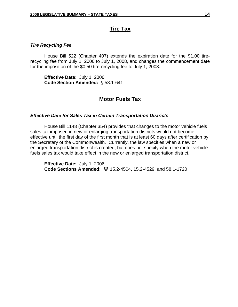### **Tire Tax**

#### *Tire Recycling Fee*

House Bill 522 (Chapter 407) extends the expiration date for the \$1.00 tirerecycling fee from July 1, 2006 to July 1, 2008, and changes the commencement date for the imposition of the \$0.50 tire-recycling fee to July 1, 2008.

**Effective Date:** July 1, 2006 **Code Section Amended:** § 58.1-641

#### **Motor Fuels Tax**

#### *Effective Date for Sales Tax in Certain Transportation Districts*

House Bill 1148 (Chapter 354) provides that changes to the motor vehicle fuels sales tax imposed in new or enlarging transportation districts would not become effective until the first day of the first month that is at least 60 days after certification by the Secretary of the Commonwealth. Currently, the law specifies when a new or enlarged transportation district is created, but does not specify when the motor vehicle fuels sales tax would take effect in the new or enlarged transportation district.

**Effective Date:** July 1, 2006 **Code Sections Amended:** §§ 15.2-4504, 15.2-4529, and 58.1-1720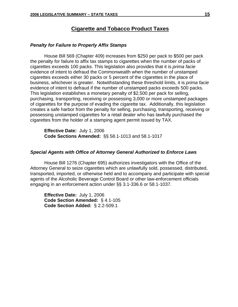#### **Cigarette and Tobacco Product Taxes**

#### *Penalty for Failure to Properly Affix Stamps*

House Bill 569 (Chapter 409) increases from \$250 per pack to \$500 per pack the penalty for failure to affix tax stamps to cigarettes when the number of packs of cigarettes exceeds 100 packs. This legislation also provides that it is *prima facie* evidence of intent to defraud the Commonwealth when the number of unstamped cigarettes exceeds either 30 packs or 5 percent of the cigarettes in the place of business, whichever is greater. Notwithstanding these threshold limits, it is *prima facie* evidence of intent to defraud if the number of unstamped packs exceeds 500 packs. This legislation establishes a monetary penalty of \$2,500 per pack for selling, purchasing, transporting, receiving or possessing 3,000 or more unstamped packages of cigarettes for the purpose of evading the cigarette tax. Additionally, this legislation creates a safe harbor from the penalty for selling, purchasing, transporting, receiving or possessing unstamped cigarettes for a retail dealer who has lawfully purchased the cigarettes from the holder of a stamping agent permit issued by TAX.

**Effective Date:** July 1, 2006 **Code Sections Amended:** §§ 58.1-1013 and 58.1-1017

#### *Special Agents with Office of Attorney General Authorized to Enforce Laws*

House Bill 1276 (Chapter 695) authorizes investigators with the Office of the Attorney General to seize cigarettes which are unlawfully sold, possessed, distributed, transported, imported, or otherwise held and to accompany and participate with special agents of the Alcoholic Beverage Control Board or other law-enforcement officials engaging in an enforcement action under §§ 3.1-336.6 or 58.1-1037.

**Effective Date:** July 1, 2006 **Code Section Amended:** § 4.1-105 **Code Section Added:** § 2.2-509.1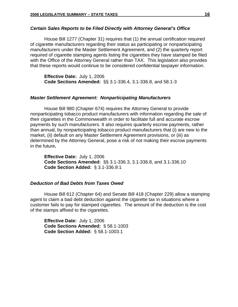#### *Certain Sales Reports to be Filed Directly with Attorney General's Office*

 House Bill 1277 (Chapter 31) requires that (1) the annual certification required of cigarette manufacturers regarding their status as participating or nonparticipating manufacturers under the Master Settlement Agreement, and (2) the quarterly report required of cigarette stamping agents listing the cigarettes they have stamped be filed with the Office of the Attorney General rather than TAX. This legislation also provides that these reports would continue to be considered confidential taxpayer information.

**Effective Date:** July 1, 2006 **Code Sections Amended:** §§ 3.1-336.4, 3.1-336.8, and 58.1-3

#### *Master Settlement Agreement: Nonparticipating Manufacturers*

 House Bill 980 (Chapter 674) requires the Attorney General to provide nonparticipating tobacco product manufacturers with information regarding the sale of their cigarettes in the Commonwealth in order to facilitate full and accurate escrow payments by such manufacturers. It also requires quarterly escrow payments, rather than annual, by nonparticipating tobacco product manufacturers that (i) are new to the market, (ii) default on any Master Settlement Agreement provisions, or (iii) as determined by the Attorney General, pose a risk of not making their escrow payments in the future**.** 

 **Effective Date:** July 1, 2006 **Code Sections Amended:** §§ 3.1-336.3, 3.1-336.8, and 3.1-336.10 **Code Section Added:** § 3.1-336.9:1

#### *Deduction of Bad Debts from Taxes Owed*

House Bill 612 (Chapter 64) and Senate Bill 418 (Chapter 229) allow a stamping agent to claim a bad debt deduction against the cigarette tax in situations where a customer fails to pay for stamped cigarettes. The amount of the deduction is the cost of the stamps affixed to the cigarettes.

**Effective Date:** July 1, 2006 **Code Sections Amended:** § 58.1-1003 **Code Section Added:** § 58.1-1003.1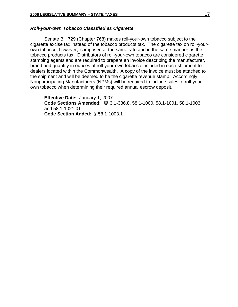#### *Roll-your-own Tobacco Classified as Cigarette*

Senate Bill 729 (Chapter 768) makes roll-your-own tobacco subject to the cigarette excise tax instead of the tobacco products tax. The cigarette tax on roll-yourown tobacco, however, is imposed at the same rate and in the same manner as the tobacco products tax. Distributors of roll-your-own tobacco are considered cigarette stamping agents and are required to prepare an invoice describing the manufacturer, brand and quantity in ounces of roll-your-own tobacco included in each shipment to dealers located within the Commonwealth. A copy of the invoice must be attached to the shipment and will be deemed to be the cigarette revenue stamp. Accordingly, Nonparticipating Manufacturers (NPMs) will be required to include sales of roll-yourown tobacco when determining their required annual escrow deposit.

**Effective Date:** January 1, 2007 **Code Sections Amended:** §§ 3.1-336.8, 58.1-1000, 58.1-1001, 58.1-1003, and 58.1-1021.01 **Code Section Added:** § 58.1-1003.1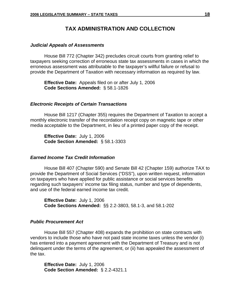#### **TAX ADMINISTRATION AND COLLECTION**

#### *Judicial Appeals of Assessments*

House Bill 772 (Chapter 342) precludes circuit courts from granting relief to taxpayers seeking correction of erroneous state tax assessments in cases in which the erroneous assessment was attributable to the taxpayer's willful failure or refusal to provide the Department of Taxation with necessary information as required by law.

**Effective Date:** Appeals filed on or after July 1, 2006 **Code Sections Amended:** § 58.1-1826

#### *Electronic Receipts of Certain Transactions*

House Bill 1217 (Chapter 355) requires the Department of Taxation to accept a monthly electronic transfer of the recordation receipt copy on magnetic tape or other media acceptable to the Department, in lieu of a printed paper copy of the receipt.

**Effective Date:** July 1, 2006 **Code Section Amended:** § 58.1-3303

#### *Earned Income Tax Credit Information*

House Bill 407 (Chapter 590) and Senate Bill 42 (Chapter 159) authorize TAX to provide the Department of Social Services ("DSS"), upon written request, information on taxpayers who have applied for public assistance or social services benefits regarding such taxpayers' income tax filing status, number and type of dependents, and use of the federal earned income tax credit.

**Effective Date:** July 1, 2006 **Code Sections Amended:** §§ 2.2-3803, 58.1-3, and 58.1-202

#### *Public Procurement Act*

House Bill 557 (Chapter 408) expands the prohibition on state contracts with vendors to include those who have not paid state income taxes unless the vendor (i) has entered into a payment agreement with the Department of Treasury and is not delinquent under the terms of the agreement, or (ii) has appealed the assessment of the tax.

**Effective Date:** July 1, 2006 **Code Section Amended:** § 2.2-4321.1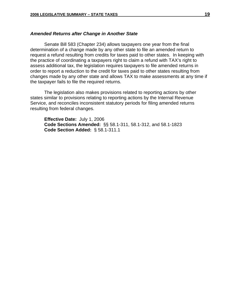#### *Amended Returns after Change in Another State*

Senate Bill 583 (Chapter 234) allows taxpayers one year from the final determination of a change made by any other state to file an amended return to request a refund resulting from credits for taxes paid to other states. In keeping with the practice of coordinating a taxpayers right to claim a refund with TAX's right to assess additional tax, the legislation requires taxpayers to file amended returns in order to report a reduction to the credit for taxes paid to other states resulting from changes made by any other state and allows TAX to make assessments at any time if the taxpayer fails to file the required returns.

The legislation also makes provisions related to reporting actions by other states similar to provisions relating to reporting actions by the Internal Revenue Service, and reconciles inconsistent statutory periods for filing amended returns resulting from federal changes.

**Effective Date:** July 1, 2006 **Code Sections Amended:** §§ 58.1-311, 58.1-312, and 58.1-1823  **Code Section Added:** § 58.1-311.1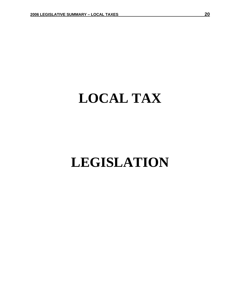## **LOCAL TAX**

## **LEGISLATION**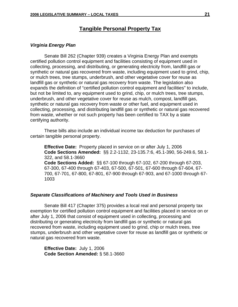#### **Tangible Personal Property Tax**

#### *Virginia Energy Plan*

Senate Bill 262 (Chapter 939) creates a Virginia Energy Plan and exempts certified pollution control equipment and facilities consisting of equipment used in collecting, processing, and distributing, or generating electricity from, landfill gas or synthetic or natural gas recovered from waste, including equipment used to grind, chip, or mulch trees, tree stumps, underbrush, and other vegetative cover for reuse as landfill gas or synthetic or natural gas recovery from waste. The legislation also expands the definition of "certified pollution control equipment and facilities" to include, but not be limited to, any equipment used to grind, chip, or mulch trees, tree stumps, underbrush, and other vegetative cover for reuse as mulch, compost, landfill gas, synthetic or natural gas recovery from waste or other fuel, and equipment used in collecting, processing, and distributing landfill gas or synthetic or natural gas recovered from waste, whether or not such property has been certified to TAX by a state certifying authority.

These bills also include an individual income tax deduction for purchases of certain tangible personal property.

**Effective Date:** Property placed in service on or after July 1, 2006 **Code Sections Amended:** §§ 2.2-1132, 23-135.7:6, 45.1-390, 56-249.6, 58.1- 322, and 58.1-3660 **Code Sections Added:** §§ 67-100 through 67-102, 67-200 through 67-203, 67-300, 67-400 through 67-403, 67-500, 67-501, 67-600 through 67-604, 67- 700, 67-701, 67-800, 67-801, 67-900 through 67-903, and 67-1000 through 67- 1003

#### *Separate Classifications of Machinery and Tools Used in Business*

Senate Bill 417 (Chapter 375) provides a local real and personal property tax exemption for certified pollution control equipment and facilities placed in service on or after July 1, 2006 that consist of equipment used in collecting, processing and distributing or generating electricity from landfill gas or synthetic or natural gas recovered from waste, including equipment used to grind, chip or mulch trees, tree stumps, underbrush and other vegetative cover for reuse as landfill gas or synthetic or natural gas recovered from waste.

**Effective Date:** July 1, 2006  **Code Section Amended:** § 58.1-3660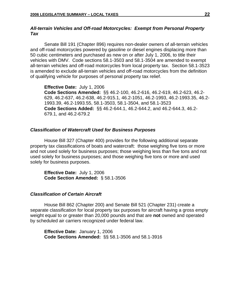#### *All-terrain Vehicles and Off-road Motorcycles: Exempt from Personal Property Tax*

 Senate Bill 191 (Chapter 896) requires non-dealer owners of all-terrain vehicles and off-road motorcycles powered by gasoline or diesel engines displacing more than 50 cubic centimeters and purchased as new on or after July 1, 2006, to title their vehicles with DMV. Code sections 58.1-3503 and 58.1-3504 are amended to exempt all-terrain vehicles and off-road motorcycles from local property tax. Section 58.1-3523 is amended to exclude all-terrain vehicles and off-road motorcycles from the definition of qualifying vehicle for purposes of personal property tax relief.

**Effective Date:** July 1, 2006

**Code Sections Amended:** §§ 46.2-100, 46.2-616, 46.2-619, 46.2-623, 46.2- 629, 46.2-637, 46.2-638, 46.2-915.1, 46.2-1051, 46.2-1993, 46.2-1993.35, 46.2- 1993.39, 46.2-1993.55, 58.1-3503, 58.1-3504, and 58.1-3523 **Code Sections Added:** §§ 46.2-644.1, 46.2-644.2, and 46.2-644.3, 46.2- 679.1, and 46.2-679.2

#### *Classification of Watercraft Used for Business Purposes*

House Bill 327 (Chapter 400) provides for the following additional separate property tax classifications of boats and watercraft: those weighing five tons or more and not used solely for business purposes; those weighing less than five tons and not used solely for business purposes; and those weighing five tons or more and used solely for business purposes.

**Effective Date:** July 1, 2006 **Code Section Amended:** § 58.1-3506

#### *Classification of Certain Aircraft*

House Bill 862 (Chapter 200) and Senate Bill 521 (Chapter 231) create a separate classification for local property tax purposes for aircraft having a gross empty weight equal to or greater than 20,000 pounds and that are **not** owned and operated by scheduled air carriers recognized under federal law.

**Effective Date:** January 1, 2006 **Code Sections Amended:** §§ 58.1-3506 and 58.1-3916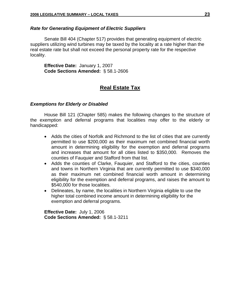#### *Rate for Generating Equipment of Electric Suppliers*

Senate Bill 404 (Chapter 517) provides that generating equipment of electric suppliers utilizing wind turbines may be taxed by the locality at a rate higher than the real estate rate but shall not exceed the personal property rate for the respective locality.

**Effective Date:** January 1, 2007  **Code Sections Amended:** § 58.1-2606

#### **Real Estate Tax**

#### *Exemptions for Elderly or Disabled*

House Bill 121 (Chapter 585) makes the following changes to the structure of the exemption and deferral programs that localities may offer to the elderly or handicapped:

- Adds the cities of Norfolk and Richmond to the list of cities that are currently permitted to use \$200,000 as their maximum net combined financial worth amount in determining eligibility for the exemption and deferral programs and increases that amount for all cities listed to \$350,000. Removes the counties of Fauquier and Stafford from that list.
- Adds the counties of Clarke, Fauquier, and Stafford to the cities, counties and towns in Northern Virginia that are currently permitted to use \$340,000 as their maximum net combined financial worth amount in determining eligibility for the exemption and deferral programs, and raises the amount to \$540,000 for those localities.
- Delineates, by name, the localities in Northern Virginia eligible to use the higher total combined income amount in determining eligibility for the exemption and deferral programs.

**Effective Date:** July 1, 2006  **Code Sections Amended:**§ 58.1-3211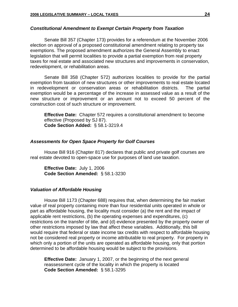#### *Constitutional Amendment to Exempt Certain Property from Taxation*

Senate Bill 357 (Chapter 173) provides for a referendum at the November 2006 election on approval of a proposed constitutional amendment relating to property tax exemptions. The proposed amendment authorizes the General Assembly to enact legislation that will permit localities to provide a partial exemption from real property taxes for real estate and associated new structures and improvements in conservation, redevelopment, or rehabilitation areas.

Senate Bill 358 (Chapter 572) authorizes localities to provide for the partial exemption from taxation of new structures or other improvements to real estate located in redevelopment or conservation areas or rehabilitation districts. The partial exemption would be a percentage of the increase in assessed value as a result of the new structure or improvement or an amount not to exceed 50 percent of the construction cost of such structure or improvement.

**Effective Date:** Chapter 572 requires a constitutional amendment to become effective (Proposed by SJ 87). **Code Section Added:** § 58.1-3219.4

#### *Assessments for Open Space Property for Golf Courses*

 House Bill 916 (Chapter 817) declares that public and private golf courses are real estate devoted to open-space use for purposes of land use taxation.

**Effective Date:** July 1, 2006 **Code Section Amended:** § 58.1-3230

#### *Valuation of Affordable Housing*

 House Bill 1173 (Chapter 688) requires that, when determining the fair market value of real property containing more than four residential units operated in whole or part as affordable housing, the locality must consider (a) the rent and the impact of applicable rent restrictions, (b) the operating expenses and expenditures, (c) restrictions on the transfer of title, and (d) evidence presented by the property owner of other restrictions imposed by law that affect these variables. Additionally, this bill would require that federal or state income tax credits with respect to affordable housing not be considered real property or income attributable to real property. For property in which only a portion of the units are operated as affordable housing, only that portion determined to be affordable housing would be subject to the provisions.

**Effective Date:** January 1, 2007, or the beginning of the next general reassessment cycle of the locality in which the property is located **Code Section Amended:** § 58.1-3295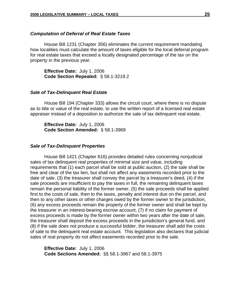#### *Computation of Deferral of Real Estate Taxes*

 House Bill 1231 (Chapter 356) eliminates the current requirement mandating how localities must calculate the amount of taxes eligible for the local deferral program for real estate taxes that exceed a locally designated percentage of the tax on the property in the previous year.

**Effective Date:** July 1, 2006 **Code Section Repealed:** § 58.1-3219.2

#### *Sale of Tax-Delinquent Real Estate*

House Bill 194 (Chapter 333) allows the circuit court, where there is no dispute as to title or value of the real estate, to use the written report of a licensed real estate appraiser instead of a deposition to authorize the sale of tax delinquent real estate.

**Effective Date:** July 1, 2006 **Code Section Amended:** § 58.1-3969

#### *Sale of Tax-Delinquent Properties*

House Bill 1421 (Chapter 616) provides detailed rules concerning nonjudicial sales of tax delinquent real properties of minimal size and value, including requirements that (1) each parcel shall be sold at public auction, (2) the sale shall be free and clear of the tax lien, but shall not affect any easements recorded prior to the date of sale, (3) the treasurer shall convey the parcel by a treasurer's deed, (4) if the sale proceeds are insufficient to pay the taxes in full, the remaining delinquent taxes remain the personal liability of the former owner, (5) the sale proceeds shall be applied first to the costs of sale, then to the taxes, penalty and interest due on the parcel, and then to any other taxes or other charges owed by the former owner to the jurisdiction, (6) any excess proceeds remain the property of the former owner and shall be kept by the treasurer in an interest-bearing escrow account, (7) if no claim for payment of excess proceeds is made by the former owner within two years after the date of sale, the treasurer shall deposit the excess proceeds in the jurisdiction's general fund, and (8) if the sale does not produce a successful bidder, the treasurer shall add the costs of sale to the delinquent real estate account. This legislation also declares that judicial sales of real property do not affect easements recorded prior to the sale.

 **Effective Date:** July 1, 2006 **Code Sections Amended:** §§ 58.1-3967 and 58.1-3975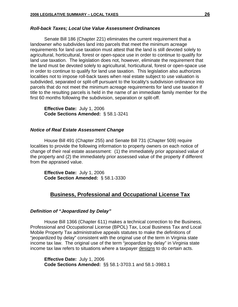#### *Roll-back Taxes; Local Use Value Assessment Ordinances*

Senate Bill 186 (Chapter 221) eliminates the current requirement that a landowner who subdivides land into parcels that meet the minimum acreage requirements for land use taxation must attest that the land is still devoted solely to agricultural, horticultural, forest or open-space use in order to continue to qualify for land use taxation. The legislation does not, however, eliminate the requirement that the land must be devoted solely to agricultural, horticultural, forest or open-space use in order to continue to qualify for land use taxation. This legislation also authorizes localities not to impose roll-back taxes when real estate subject to use valuation is subdivided, separated or split-off pursuant to the locality's subdivision ordinance into parcels that do not meet the minimum acreage requirements for land use taxation if title to the resulting parcels is held in the name of an immediate family member for the first 60 months following the subdivision, separation or split-off.

**Effective Date:** July 1, 2006 **Code Sections Amended:** § 58.1-3241

#### *Notice of Real Estate Assessment Change*

House Bill 491 (Chapter 255) and Senate Bill 731 (Chapter 509) require localities to provide the following information to property owners on each notice of change of their real estate assessment: (1) the immediately prior appraised value of the property and (2) the immediately prior assessed value of the property if different from the appraised value.

**Effective Date:** July 1, 2006 **Code Section Amended:** § 58.1-3330

#### **Business, Professional and Occupational License Tax**

#### *Definition of "Jeopardized by Delay"*

 House Bill 1366 (Chapter 611) makes a technical correction to the Business, Professional and Occupational License (BPOL) Tax, Local Business Tax and Local Mobile Property Tax administrative appeals statutes to make the definitions of "jeopardized by delay" consistent with the original use of the term in Virginia state income tax law. The original use of the term "jeopardize by delay" in Virginia state income tax law refers to situations where a taxpayer designs to do certain acts.

**Effective Date:** July 1, 2006 **Code Sections Amended:** §§ 58.1-3703.1 and 58.1-3983.1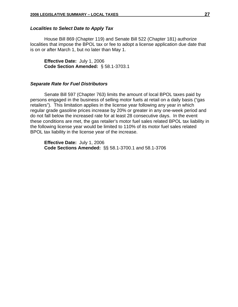#### *Localities to Select Date to Apply Tax*

 House Bill 869 (Chapter 119) and Senate Bill 522 (Chapter 181) authorize localities that impose the BPOL tax or fee to adopt a license application due date that is on or after March 1, but no later than May 1.

**Effective Date:** July 1, 2006 **Code Section Amended:** § 58.1-3703.1

#### *Separate Rate for Fuel Distributors*

 Senate Bill 597 (Chapter 763) limits the amount of local BPOL taxes paid by persons engaged in the business of selling motor fuels at retail on a daily basis ("gas retailers"). This limitation applies in the license year following any year in which regular grade gasoline prices increase by 20% or greater in any one-week period and do not fall below the increased rate for at least 28 consecutive days. In the event these conditions are met, the gas retailer's motor fuel sales related BPOL tax liability in the following license year would be limited to 110% of its motor fuel sales related BPOL tax liability in the license year of the increase.

**Effective Date:** July 1, 2006 **Code Sections Amended:** §§ 58.1-3700.1 and 58.1-3706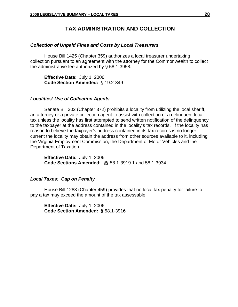#### **TAX ADMINISTRATION AND COLLECTION**

#### *Collection of Unpaid Fines and Costs by Local Treasurers*

House Bill 1425 (Chapter 359) authorizes a local treasurer undertaking collection pursuant to an agreement with the attorney for the Commonwealth to collect the administrative fee authorized by § 58.1-3958.

**Effective Date:** July 1, 2006  **Code Section Amended:** § 19.2-349

#### *Localities' Use of Collection Agents*

 Senate Bill 302 (Chapter 372) prohibits a locality from utilizing the local sheriff, an attorney or a private collection agent to assist with collection of a delinquent local tax unless the locality has first attempted to send written notification of the delinquency to the taxpayer at the address contained in the locality's tax records. If the locality has reason to believe the taxpayer's address contained in its tax records is no longer current the locality may obtain the address from other sources available to it, including the Virginia Employment Commission, the Department of Motor Vehicles and the Department of Taxation.

**Effective Date:** July 1, 2006 **Code Sections Amended:** §§ 58.1-3919.1 and 58.1-3934

#### *Local Taxes: Cap on Penalty*

 House Bill 1283 (Chapter 459) provides that no local tax penalty for failure to pay a tax may exceed the amount of the tax assessable.

**Effective Date:** July 1, 2006 **Code Section Amended:** § 58.1-3916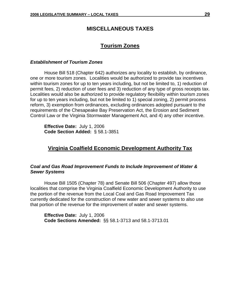#### **MISCELLANEOUS TAXES**

#### **Tourism Zones**

#### *Establishment of Tourism Zones*

 House Bill 518 (Chapter 642) authorizes any locality to establish, by ordinance, one or more tourism zones. Localities would be authorized to provide tax incentives within tourism zones for up to ten years including, but not be limited to, 1) reduction of permit fees, 2) reduction of user fees and 3) reduction of any type of gross receipts tax. Localities would also be authorized to provide regulatory flexibility within tourism zones for up to ten years including, but not be limited to 1) special zoning, 2) permit process reform, 3) exemption from ordinances, excluding ordinances adopted pursuant to the requirements of the Chesapeake Bay Preservation Act, the Erosion and Sediment Control Law or the Virginia Stormwater Management Act, and 4) any other incentive.

**Effective Date:** July 1, 2006 **Code Section Added:** § 58.1-3851

#### **Virginia Coalfield Economic Development Authority Tax**

#### *Coal and Gas Road Improvement Funds to Include Improvement of Water & Sewer Systems*

House Bill 1505 (Chapter 78) and Senate Bill 506 (Chapter 497) allow those localities that comprise the Virginia Coalfield Economic Development Authority to use the portion of the revenue from the Local Coal and Gas Road Improvement Tax currently dedicated for the construction of new water and sewer systems to also use that portion of the revenue for the improvement of water and sewer systems.

**Effective Date:** July 1, 2006 **Code Sections Amended:** §§ 58.1-3713 and 58.1-3713.01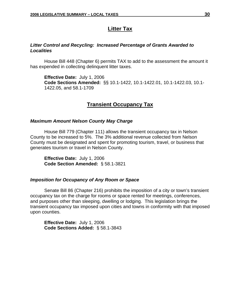#### **Litter Tax**

#### *Litter Control and Recycling: Increased Percentage of Grants Awarded to Localities*

House Bill 448 (Chapter 6) permits TAX to add to the assessment the amount it has expended in collecting delinquent litter taxes.

**Effective Date:** July 1, 2006 **Code Sections Amended:** §§ 10.1-1422, 10.1-1422.01, 10.1-1422.03, 10.1- 1422.05, and 58.1-1709

#### **Transient Occupancy Tax**

#### *Maximum Amount Nelson County May Charge*

House Bill 779 (Chapter 111) allows the transient occupancy tax in Nelson County to be increased to 5%. The 3% additional revenue collected from Nelson County must be designated and spent for promoting tourism, travel, or business that generates tourism or travel in Nelson County.

 **Effective Date:** July 1, 2006 **Code Section Amended:** § 58.1-3821

#### *Imposition for Occupancy of Any Room or Space*

Senate Bill 86 (Chapter 216) prohibits the imposition of a city or town's transient occupancy tax on the charge for rooms or space rented for meetings, conferences, and purposes other than sleeping, dwelling or lodging. This legislation brings the transient occupancy tax imposed upon cities and towns in conformity with that imposed upon counties.

**Effective Date:** July 1, 2006 **Code Sections Added:** § 58.1-3843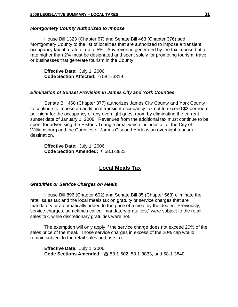#### *Montgomery County Authorized to Impose*

 House Bill 1323 (Chapter 67) and Senate Bill 463 (Chapter 376) add Montgomery County to the list of localities that are authorized to impose a transient occupancy tax at a rate of up to 5%. Any revenue generated by the tax imposed at a rate higher than 2% must be designated and spent solely for promoting tourism, travel or businesses that generate tourism in the County.

**Effective Date:** July 1, 2006 **Code Section Affected:** § 58.1-3819

#### *Elimination of Sunset Provision in James City and York Counties*

Senate Bill 468 (Chapter 377) authorizes James City County and York County to continue to impose an additional transient occupancy tax not to exceed \$2 per room per night for the occupancy of any overnight guest room by eliminating the current sunset date of January 1, 2008. Revenues from the additional tax must continue to be spent for advertising the Historic Triangle area, which includes all of the City of Williamsburg and the Counties of James City and York as an overnight tourism destination.

 **Effective Date:** July 1, 2006 **Code Section Amended:** § 58.1-3823

#### **Local Meals Tax**

#### *Gratuities or Service Charges on Meals*

House Bill 896 (Chapter 602) and Senate Bill 85 (Chapter 568) eliminate the retail sales tax and the local meals tax on gratuity or service charges that are mandatory or automatically added to the price of a meal by the dealer. Previously, service charges, sometimes called "mandatory gratuities," were subject to the retail sales tax, while discretionary gratuities were not.

The exemption will only apply if the service charge does not exceed 20% of the sales price of the meal. Those service charges in excess of the 20% cap would remain subject to the retail sales and use tax.

**Effective Date:** July 1, 2006 **Code Sections Amended:** §§ 58.1-602, 58.1-3833, and 58.1-3840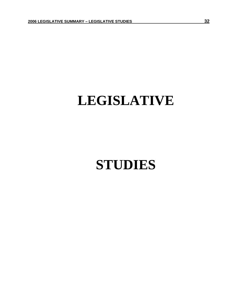## **LEGISLATIVE**

## **STUDIES**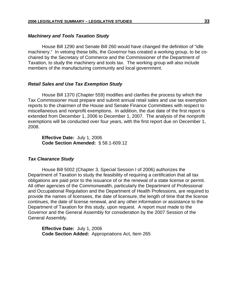#### *Machinery and Tools Taxation Study*

 House Bill 1290 and Senate Bill 260 would have changed the definition of "idle machinery." In vetoing these bills, the Governor has created a working group, to be cochaired by the Secretary of Commerce and the Commissioner of the Department of Taxation, to study the machinery and tools tax. The working group will also include members of the manufacturing community and local government.

#### *Retail Sales and Use Tax Exemption Study*

House Bill 1370 (Chapter 559) modifies and clarifies the process by which the Tax Commissioner must prepare and submit annual retail sales and use tax exemption reports to the chairmen of the House and Senate Finance Committees with respect to miscellaneous and nonprofit exemptions. In addition, the due date of the first report is extended from December 1, 2006 to December 1, 2007. The analysis of the nonprofit exemptions will be conducted over four years, with the first report due on December 1, 2008.

**Effective Date:** July 1, 2006 **Code Section Amended:** § 58.1-609.12

#### *Tax Clearance Study*

House Bill 5002 (Chapter 3, Special Session I of 2006) authorizes the Department of Taxation to study the feasibility of requiring a certification that all tax obligations are paid prior to the issuance of or the renewal of a state license or permit. All other agencies of the Commonwealth, particularly the Department of Professional and Occupational Regulation and the Department of Health Professions, are required to provide the names of licensees, the date of licensure, the length of time that the license continues, the date of license renewal, and any other information or assistance to the Department of Taxation for this study, upon request. A report must made to the Governor and the General Assembly for consideration by the 2007 Session of the General Assembly.

**Effective Date:** July 1, 2006 **Code Section Added:** Appropriations Act, Item 265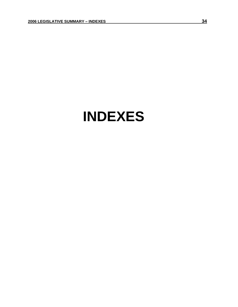## **INDEXES**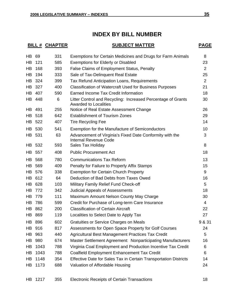### **INDEX BY BILL NUMBER**

### **BILL # CHAPTER SUBJECT MATTER PAGE**

| HB  | 69     | 331 | Exemptions for Certain Medicines and Drugs for Farm Animals                                  | 8              |
|-----|--------|-----|----------------------------------------------------------------------------------------------|----------------|
| HB  | 121    | 585 | <b>Exemptions for Elderly or Disabled</b>                                                    | 23             |
| HB  | 168    | 393 | False Claims of Employment Status, Penalty                                                   | $\overline{2}$ |
| HВ  | 194    | 333 | Sale of Tax-Delinquent Real Estate                                                           | 25             |
| HB  | 324    | 399 | Tax Refund Anticipation Loans, Requirements                                                  | $\overline{2}$ |
| HB  | 327    | 400 | <b>Classification of Watercraft Used for Business Purposes</b>                               | 21             |
| HB  | 407    | 590 | Earned Income Tax Credit Information                                                         | 18             |
|     | HB 448 | 6   | Litter Control and Recycling: Increased Percentage of Grants<br><b>Awarded to Localities</b> | 30             |
| HB. | 491    | 255 | Notice of Real Estate Assessment Change                                                      | 26             |
| HB  | 518    | 642 | <b>Establishment of Tourism Zones</b>                                                        | 29             |
|     | HB 522 | 407 | <b>Tire Recycling Fee</b>                                                                    | 14             |
|     | HB 530 | 541 | Exemption for the Manufacture of Semiconductors                                              | 10             |
|     | HB 531 | 63  | Advancement of Virginia's Fixed Date Conformity with the<br><b>Internal Revenue Code</b>     | 3              |
|     | HB 532 | 593 | Sales Tax Holiday                                                                            | 8              |
|     | HB 557 | 408 | <b>Public Procurement Act</b>                                                                | 18             |
| HB  | 568    | 780 | <b>Communications Tax Reform</b>                                                             | 13             |
| HB  | 569    | 409 | Penalty for Failure to Properly Affix Stamps                                                 | 15             |
| HB  | 576    | 338 | <b>Exemption for Certain Church Property</b>                                                 | 9              |
| HB  | 612    | 64  | Deduction of Bad Debts from Taxes Owed                                                       | 16             |
| HB  | 628    | 103 | Military Family Relief Fund Check-off                                                        | 5              |
| HB  | 772    | 342 | <b>Judicial Appeals of Assessments</b>                                                       | 18             |
| HB  | 779    | 111 | Maximum Amount Nelson County May Charge                                                      | 30             |
| HB  | 786    | 599 | Credit for Purchase of Long-term Care Insurance                                              | $\overline{4}$ |
| HB. | 862    | 200 | <b>Classification of Certain Aircraft</b>                                                    | 22             |
|     | HB 869 | 119 | Localities to Select Date to Apply Tax                                                       | 27             |
|     | HB 896 | 602 | <b>Gratuities or Service Charges on Meals</b>                                                | 9 & 31         |
| HB  | 916    | 817 | Assessments for Open Space Property for Golf Courses                                         | 24             |
| HB  | 963    | 440 | Agricultural Best Management Practices Tax Credit                                            | 5              |
| HB  | 980    | 674 | Master Settlement Agreement: Nonparticipating Manufacturers                                  | 16             |
| HВ  | 1043   | 788 | Virginia Coal Employment and Production Incentive Tax Credit                                 | 6              |
| HB  | 1043   | 788 | Coalfield Employment Enhancement Tax Credit                                                  | 6              |
| HB  | 1148   | 354 | Effective Date for Sales Tax in Certain Transportation Districts                             | 14             |
| HB  | 1173   | 688 | Valuation of Affordable Housing                                                              | 24             |
| HB  | 1217   | 355 | <b>Electronic Receipts of Certain Transactions</b>                                           | 18             |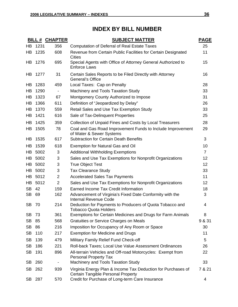## **INDEX BY BILL NUMBER**

|           |         | <b>BILL # CHAPTER</b>    | <b>SUBJECT MATTER</b>                                                                              | <b>PAGE</b>    |
|-----------|---------|--------------------------|----------------------------------------------------------------------------------------------------|----------------|
| HB        | 1231    | 356                      | <b>Computation of Deferral of Real Estate Taxes</b>                                                | 25             |
| HB        | 1235    | 608                      | Revenue from Certain Public Facilities for Certain Designated<br><b>Cities</b>                     | 11             |
|           | HB 1276 | 695                      | Special Agents with Office of Attorney General Authorized to<br><b>Enforce Laws</b>                | 15             |
| HB        | 1277    | 31                       | Certain Sales Reports to be Filed Directly with Attorney<br><b>General's Office</b>                | 16             |
| HB        | 1283    | 459                      | Local Taxes: Cap on Penalty                                                                        | 28             |
| HB        | 1290    | $\overline{\phantom{a}}$ | Machinery and Tools Taxation Study                                                                 | 33             |
| HB        | 1323    | 67                       | Montgomery County Authorized to Impose                                                             | 31             |
| HB        | 1366    | 611                      | Definition of "Jeopardized by Delay"                                                               | 26             |
| HB        | 1370    | 559                      | Retail Sales and Use Tax Exemption Study                                                           | 33             |
| HB        | 1421    | 616                      | Sale of Tax-Delinquent Properties                                                                  | 25             |
| HB        | 1425    | 359                      | Collection of Unpaid Fines and Costs by Local Treasurers                                           | 28             |
| HB        | 1505    | 78                       | Coal and Gas Road Improvement Funds to Include Improvement<br>of Water & Sewer Systems             | 29             |
| HB        | 1535    | 617                      | <b>Subtraction for Certain Death Benefits</b>                                                      | 3              |
| HB        | 1539    | 618                      | Exemption for Natural Gas and Oil                                                                  | 10             |
| HB        | 5002    | 3                        | <b>Additional Withholding Exemptions</b>                                                           | $\overline{7}$ |
| HB        | 5002    | 3                        | Sales and Use Tax Exemptions for Nonprofit Organizations                                           | 12             |
| HB        | 5002    | 3                        | <b>True Object Test</b>                                                                            | 12             |
| HB        | 5002    | 3                        | <b>Tax Clearance Study</b>                                                                         | 33             |
|           | HB 5012 | $\overline{2}$           | <b>Accelerated Sales Tax Payments</b>                                                              | 11             |
|           | HB 5012 | $\overline{2}$           | Sales and Use Tax Exemptions for Nonprofit Organizations                                           | 12             |
| <b>SB</b> | 42      | 159                      | Earned Income Tax Credit Information                                                               | 18             |
| <b>SB</b> | 69      | 162                      | Advancement of Virginia's Fixed Date Conformity with the<br><b>Internal Revenue Code</b>           | 3              |
| <b>SB</b> | - 70    | 214                      | Deduction for Payments to Producers of Quota Tobacco and<br><b>Tobacco Quota Holders</b>           | 4              |
| <b>SB</b> | 73      | 361                      | Exemptions for Certain Medicines and Drugs for Farm Animals                                        | 8              |
| <b>SB</b> | 85      | 568                      | Gratuities or Service Charges on Meals                                                             | 9 & 31         |
| <b>SB</b> | 86      | 216                      | Imposition for Occupancy of Any Room or Space                                                      | 30             |
| <b>SB</b> | 110     | 217                      | <b>Exemption for Medicine and Drugs</b>                                                            | 11             |
| <b>SB</b> | 139     | 479                      | Military Family Relief Fund Check-off                                                              | 5              |
| <b>SB</b> | 186     | 221                      | Roll-back Taxes; Local Use Value Assessment Ordinances                                             | 26             |
| SB        | 191     | 896                      | All-terrain Vehicles and Off-road Motorcycles: Exempt from<br><b>Personal Property Tax</b>         | 22             |
| <b>SB</b> | 260     |                          | Machinery and Tools Taxation Study                                                                 | 33             |
| SB        | 262     | 939                      | Virginia Energy Plan & Income Tax Deduction for Purchases of<br>Certain Tangible Personal Property | 7 & 21         |
|           | SB 287  | 570                      | Credit for Purchase of Long-term Care Insurance                                                    | 4              |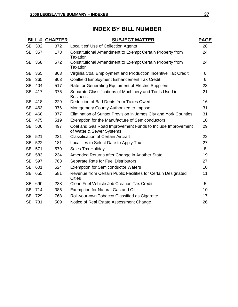## **INDEX BY BILL NUMBER**

|           | BILL# | <b>CHAPTER</b> | <b>SUBJECT MATTER</b>                                                                  | <b>PAGE</b> |
|-----------|-------|----------------|----------------------------------------------------------------------------------------|-------------|
| <b>SB</b> | 302   | 372            | Localities' Use of Collection Agents                                                   | 28          |
| SB        | 357   | 173            | Constitutional Amendment to Exempt Certain Property from<br>Taxation                   | 24          |
| SB        | 358   | 572            | Constitutional Amendment to Exempt Certain Property from<br>Taxation                   | 24          |
| <b>SB</b> | 365   | 803            | Virginia Coal Employment and Production Incentive Tax Credit                           | 6           |
| <b>SB</b> | 365   | 803            | Coalfield Employment Enhancement Tax Credit                                            | 6           |
| <b>SB</b> | 404   | 517            | Rate for Generating Equipment of Electric Suppliers                                    | 23          |
| <b>SB</b> | 417   | 375            | Separate Classifications of Machinery and Tools Used in<br><b>Business</b>             | 21          |
| <b>SB</b> | 418   | 229            | Deduction of Bad Debts from Taxes Owed                                                 | 16          |
| <b>SB</b> | 463   | 376            | Montgomery County Authorized to Impose                                                 | 31          |
| <b>SB</b> | 468   | 377            | Elimination of Sunset Provision in James City and York Counties                        | 31          |
| <b>SB</b> | 475   | 519            | Exemption for the Manufacture of Semiconductors                                        | 10          |
| <b>SB</b> | 506   | 497            | Coal and Gas Road Improvement Funds to Include Improvement<br>of Water & Sewer Systems | 29          |
| <b>SB</b> | 521   | 231            | <b>Classification of Certain Aircraft</b>                                              | 22          |
| <b>SB</b> | 522   | 181            | Localities to Select Date to Apply Tax                                                 | 27          |
| <b>SB</b> | 571   | 579            | Sales Tax Holiday                                                                      | 8           |
| <b>SB</b> | 583   | 234            | Amended Returns after Change in Another State                                          | 19          |
| <b>SB</b> | 597   | 763            | Separate Rate for Fuel Distributors                                                    | 27          |
| <b>SB</b> | 601   | 524            | <b>Exemption for Semiconductor Wafers</b>                                              | 10          |
| <b>SB</b> | 655   | 581            | Revenue from Certain Public Facilities for Certain Designated<br><b>Cities</b>         | 11          |
| <b>SB</b> | 690   | 238            | Clean Fuel Vehicle Job Creation Tax Credit                                             | 5           |
| <b>SB</b> | 714   | 385            | Exemption for Natural Gas and Oil                                                      | 10          |
| SВ        | 729   | 768            | Roll-your-own Tobacco Classified as Cigarette                                          | 17          |
| <b>SB</b> | 731   | 509            | Notice of Real Estate Assessment Change                                                | 26          |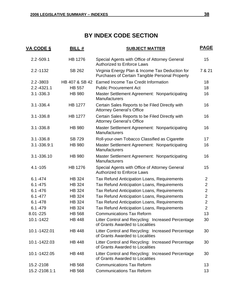| <u>VA CODE §</u> | BILL#          | <b>SUBJECT MATTER</b>                                                                              | <b>PAGE</b>    |
|------------------|----------------|----------------------------------------------------------------------------------------------------|----------------|
| $2.2 - 509.1$    | <b>HB 1276</b> | Special Agents with Office of Attorney General<br><b>Authorized to Enforce Laws</b>                | 15             |
| $2.2 - 1132$     | <b>SB 262</b>  | Virginia Energy Plan & Income Tax Deduction for<br>Purchases of Certain Tangible Personal Property | 7 & 21         |
| $2.2 - 3803$     | HB 407 & SB 42 | Earned Income Tax Credit Information                                                               | 18             |
| $2.2 - 4321.1$   | <b>HB 557</b>  | <b>Public Procurement Act</b>                                                                      | 18             |
| $3.1 - 336.3$    | <b>HB 980</b>  | Master Settlement Agreement: Nonparticipating<br><b>Manufacturers</b>                              | 16             |
| $3.1 - 336.4$    | <b>HB 1277</b> | Certain Sales Reports to be Filed Directly with<br><b>Attorney General's Office</b>                | 16             |
| $3.1 - 336.8$    | <b>HB 1277</b> | Certain Sales Reports to be Filed Directly with<br><b>Attorney General's Office</b>                | 16             |
| $3.1 - 336.8$    | <b>HB 980</b>  | Master Settlement Agreement: Nonparticipating<br><b>Manufacturers</b>                              | 16             |
| $3.1 - 336.8$    | <b>SB 729</b>  | Roll-your-own Tobacco Classified as Cigarette                                                      | 17             |
| 3.1-336.9:1      | <b>HB 980</b>  | Master Settlement Agreement: Nonparticipating<br><b>Manufacturers</b>                              | 16             |
| 3.1-336.10       | <b>HB 980</b>  | Master Settlement Agreement: Nonparticipating<br><b>Manufacturers</b>                              | 16             |
| $4.1 - 105$      | <b>HB 1276</b> | Special Agents with Office of Attorney General<br><b>Authorized to Enforce Laws</b>                | 15             |
| $6.1 - 474$      | <b>HB 324</b>  | Tax Refund Anticipation Loans, Requirements                                                        | $\overline{2}$ |
| $6.1 - 475$      | <b>HB 324</b>  | Tax Refund Anticipation Loans, Requirements                                                        | $\overline{2}$ |
| $6.1 - 476$      | <b>HB 324</b>  | Tax Refund Anticipation Loans, Requirements                                                        | $\overline{2}$ |
| $6.1 - 477$      | <b>HB 324</b>  | Tax Refund Anticipation Loans, Requirements                                                        | $\overline{2}$ |
| $6.1 - 478$      | <b>HB 324</b>  | Tax Refund Anticipation Loans, Requirements                                                        | $\overline{2}$ |
| $6.1 - 479$      | <b>HB 324</b>  | Tax Refund Anticipation Loans, Requirements                                                        | $\overline{2}$ |
| 8.01-225         | <b>HB 568</b>  | <b>Communications Tax Reform</b>                                                                   | 13             |
| 10.1-1422        | <b>HB 448</b>  | Litter Control and Recycling: Increased Percentage<br>of Grants Awarded to Localities              | 30             |
| 10.1-1422.01     | <b>HB 448</b>  | Litter Control and Recycling: Increased Percentage<br>of Grants Awarded to Localities              | 30             |
| 10.1-1422.03     | <b>HB 448</b>  | Litter Control and Recycling: Increased Percentage<br>of Grants Awarded to Localities              | 30             |
| 10.1-1422.05     | <b>HB 448</b>  | Litter Control and Recycling: Increased Percentage<br>of Grants Awarded to Localities              | 30             |
| 15.2-2108        | <b>HB 568</b>  | <b>Communications Tax Reform</b>                                                                   | 13             |
| 15.2-2108.1:1    | <b>HB 568</b>  | <b>Communications Tax Reform</b>                                                                   | 13             |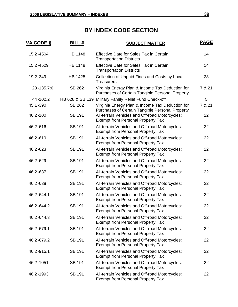| <u>VA CODE §</u> | <b>BILL#</b>    | <b>SUBJECT MATTER</b>                                                                              | <b>PAGE</b> |
|------------------|-----------------|----------------------------------------------------------------------------------------------------|-------------|
| 15.2-4504        | <b>HB 1148</b>  | <b>Effective Date for Sales Tax in Certain</b><br><b>Transportation Districts</b>                  | 14          |
| 15.2-4529        | <b>HB 1148</b>  | <b>Effective Date for Sales Tax in Certain</b><br><b>Transportation Districts</b>                  | 14          |
| 19.2-349         | <b>HB 1425</b>  | Collection of Unpaid Fines and Costs by Local<br><b>Treasurers</b>                                 | 28          |
| 23-135.7:6       | SB 262          | Virginia Energy Plan & Income Tax Deduction for<br>Purchases of Certain Tangible Personal Property | 7 & 21      |
| 44-102.2         | HB 628 & SB 139 | Military Family Relief Fund Check-off                                                              | 5           |
| 45.1-390         | <b>SB 262</b>   | Virginia Energy Plan & Income Tax Deduction for<br>Purchases of Certain Tangible Personal Property | 7 & 21      |
| 46.2-100         | <b>SB 191</b>   | All-terrain Vehicles and Off-road Motorcycles:<br><b>Exempt from Personal Property Tax</b>         | 22          |
| 46.2-616         | <b>SB 191</b>   | All-terrain Vehicles and Off-road Motorcycles:<br><b>Exempt from Personal Property Tax</b>         | 22          |
| 46.2-619         | <b>SB 191</b>   | All-terrain Vehicles and Off-road Motorcycles:<br><b>Exempt from Personal Property Tax</b>         | 22          |
| 46.2-623         | <b>SB 191</b>   | All-terrain Vehicles and Off-road Motorcycles:<br><b>Exempt from Personal Property Tax</b>         | 22          |
| 46.2-629         | <b>SB 191</b>   | All-terrain Vehicles and Off-road Motorcycles:<br><b>Exempt from Personal Property Tax</b>         | 22          |
| 46.2-637         | <b>SB 191</b>   | All-terrain Vehicles and Off-road Motorcycles:<br><b>Exempt from Personal Property Tax</b>         | 22          |
| 46.2-638         | <b>SB 191</b>   | All-terrain Vehicles and Off-road Motorcycles:<br><b>Exempt from Personal Property Tax</b>         | 22          |
| 46.2-644.1       | <b>SB 191</b>   | All-terrain Vehicles and Off-road Motorcycles:<br><b>Exempt from Personal Property Tax</b>         | 22          |
| 46.2-644.2       | <b>SB 191</b>   | All-terrain Vehicles and Off-road Motorcycles:<br><b>Exempt from Personal Property Tax</b>         | 22          |
| 46.2-644.3       | <b>SB 191</b>   | All-terrain Vehicles and Off-road Motorcycles:<br><b>Exempt from Personal Property Tax</b>         | 22          |
| 46.2-679.1       | <b>SB 191</b>   | All-terrain Vehicles and Off-road Motorcycles:<br><b>Exempt from Personal Property Tax</b>         | 22          |
| 46.2-679.2       | <b>SB 191</b>   | All-terrain Vehicles and Off-road Motorcycles:<br><b>Exempt from Personal Property Tax</b>         | 22          |
| 46.2-915.1       | <b>SB 191</b>   | All-terrain Vehicles and Off-road Motorcycles:<br><b>Exempt from Personal Property Tax</b>         | 22          |
| 46.2-1051        | <b>SB 191</b>   | All-terrain Vehicles and Off-road Motorcycles:<br><b>Exempt from Personal Property Tax</b>         | 22          |
| 46.2-1993        | <b>SB 191</b>   | All-terrain Vehicles and Off-road Motorcycles:<br><b>Exempt from Personal Property Tax</b>         | 22          |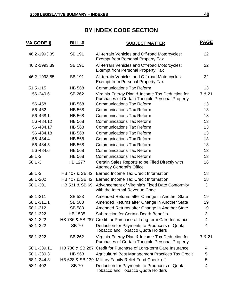| <b>VA CODE §</b> | <b>BILL#</b>    | <b>SUBJECT MATTER</b>                                                                              | <b>PAGE</b> |
|------------------|-----------------|----------------------------------------------------------------------------------------------------|-------------|
| 46.2-1993.35     | <b>SB 191</b>   | All-terrain Vehicles and Off-road Motorcycles:<br><b>Exempt from Personal Property Tax</b>         | 22          |
| 46.2-1993.39     | <b>SB 191</b>   | All-terrain Vehicles and Off-road Motorcycles:<br><b>Exempt from Personal Property Tax</b>         | 22          |
| 46.2-1993.55     | <b>SB 191</b>   | All-terrain Vehicles and Off-road Motorcycles:<br><b>Exempt from Personal Property Tax</b>         | 22          |
| $51.5 - 115$     | <b>HB 568</b>   | <b>Communications Tax Reform</b>                                                                   | 13          |
| 56-249.6         | <b>SB 262</b>   | Virginia Energy Plan & Income Tax Deduction for<br>Purchases of Certain Tangible Personal Property | 7 & 21      |
| 56-458           | <b>HB 568</b>   | <b>Communications Tax Reform</b>                                                                   | 13          |
| 56-462           | <b>HB 568</b>   | <b>Communications Tax Reform</b>                                                                   | 13          |
| 56-468.1         | <b>HB 568</b>   | <b>Communications Tax Reform</b>                                                                   | 13          |
| 56-484.12        | <b>HB 568</b>   | <b>Communications Tax Reform</b>                                                                   | 13          |
| 56-484.17        | <b>HB 568</b>   | <b>Communications Tax Reform</b>                                                                   | 13          |
| 56-484.18        | <b>HB 568</b>   | <b>Communications Tax Reform</b>                                                                   | 13          |
| 56-484.4         | <b>HB 568</b>   | <b>Communications Tax Reform</b>                                                                   | 13          |
| 56-484.5         | <b>HB 568</b>   | <b>Communications Tax Reform</b>                                                                   | 13          |
| 56-484.6         | <b>HB 568</b>   | <b>Communications Tax Reform</b>                                                                   | 13          |
| $58.1 - 3$       | <b>HB 568</b>   | <b>Communications Tax Reform</b>                                                                   | 13          |
| $58.1 - 3$       | <b>HB 1277</b>  | Certain Sales Reports to be Filed Directly with<br><b>Attorney General's Office</b>                | 16          |
| $58.1 - 3$       | HB 407 & SB 42  | Earned Income Tax Credit Information                                                               | 18          |
| 58.1-202         |                 | HB 407 & SB 42 Earned Income Tax Credit Information                                                | 18          |
| 58.1-301         | HB 531 & SB 69  | Advancement of Virginia's Fixed Date Conformity<br>with the Internal Revenue Code                  | 3           |
| 58.1-311         | <b>SB 583</b>   | Amended Returns after Change in Another State                                                      | 19          |
| 58.1-311.1       | <b>SB 583</b>   | Amended Returns after Change in Another State                                                      | 19          |
| 58.1-312         | <b>SB 583</b>   | Amended Returns after Change in Another State                                                      | 19          |
| 58.1-322         | <b>HB 1535</b>  | <b>Subtraction for Certain Death Benefits</b>                                                      | 3           |
| 58.1-322         | HB 786 & SB 287 | Credit for Purchase of Long-term Care Insurance                                                    | 4           |
| 58.1-322         | <b>SB 70</b>    | Deduction for Payments to Producers of Quota<br><b>Tobacco and Tobacco Quota Holders</b>           | 4           |
| 58.1-322         | SB 262          | Virginia Energy Plan & Income Tax Deduction for<br>Purchases of Certain Tangible Personal Property | 7 & 21      |
| 58.1-339.11      |                 | HB 786 & SB 287 Credit for Purchase of Long-term Care Insurance                                    | 4           |
| 58.1-339.3       | HB 963          | Agricultural Best Management Practices Tax Credit                                                  | 5           |
| 58.1-344.3       |                 | HB 628 & SB 139 Military Family Relief Fund Check-off                                              | 5           |
| 58.1-402         | <b>SB 70</b>    | Deduction for Payments to Producers of Quota<br><b>Tobacco and Tobacco Quota Holders</b>           | 4           |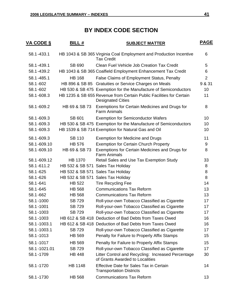| <b>VA CODE §</b> | <b>BILL#</b>    | <b>SUBJECT MATTER</b>                                                                           | <u>PAGE</u>    |
|------------------|-----------------|-------------------------------------------------------------------------------------------------|----------------|
| 58.1-433.1       |                 | HB 1043 & SB 365 Virginia Coal Employment and Production Incentive<br><b>Tax Credit</b>         | 6              |
| 58.1-439.1       | SB 690          | Clean Fuel Vehicle Job Creation Tax Credit                                                      | 5              |
| 58.1-439.2       |                 | HB 1043 & SB 365 Coalfield Employment Enhancement Tax Credit                                    | 6              |
| 58.1-485.1       | <b>HB 168</b>   | False Claims of Employment Status, Penalty                                                      | $\overline{2}$ |
| 58.1-602         | HB 896 & SB 85  | Gratuities or Service Charges on Meals                                                          | 9 & 31         |
| 58.1-602         |                 | HB 530 & SB 475 Exemption for the Manufacture of Semiconductors                                 | 10             |
| 58.1-608.3       |                 | HB 1235 & SB 655 Revenue from Certain Public Facilities for Certain<br><b>Designated Cities</b> | 11             |
| 58.1-609.2       | HB 69 & SB 73   | Exemptions for Certain Medicines and Drugs for<br><b>Farm Animals</b>                           | 8              |
| 58.1-609.3       | SB 601          | <b>Exemption for Semiconductor Wafers</b>                                                       | 10             |
| 58.1-609.3       |                 | HB 530 & SB 475 Exemption for the Manufacture of Semiconductors                                 | 10             |
| 58.1-609.3       |                 | HB 1539 & SB 714 Exemption for Natural Gas and Oil                                              | 10             |
| 58.1-609.3       | <b>SB 110</b>   | <b>Exemption for Medicine and Drugs</b>                                                         | 11             |
| 58.1-609.10      | <b>HB 576</b>   | <b>Exemption for Certain Church Property</b>                                                    | 9              |
| 58.1-609.10      | HB 69 & SB 73   | Exemptions for Certain Medicines and Drugs for<br><b>Farm Animals</b>                           | 8              |
| 58.1-609.12      | <b>HB 1370</b>  | Retail Sales and Use Tax Exemption Study                                                        | 33             |
| 58.1-611.2       | HB 532 & SB 571 | <b>Sales Tax Holiday</b>                                                                        | 8              |
| 58.1-625         |                 | HB 532 & SB 571 Sales Tax Holiday                                                               | 8              |
| 58.1-626         |                 | HB 532 & SB 571 Sales Tax Holiday                                                               | 8              |
| 58.1-641         | <b>HB 522</b>   | <b>Tire Recycling Fee</b>                                                                       | 14             |
| 58.1-645         | <b>HB 568</b>   | <b>Communications Tax Reform</b>                                                                | 13             |
| 58.1-662         | <b>HB 568</b>   | <b>Communications Tax Reform</b>                                                                | 13             |
| 58.1-1000        | <b>SB 729</b>   | Roll-your-own Tobacco Classified as Cigarette                                                   | 17             |
| 58.1-1001        | <b>SB 729</b>   | Roll-your-own Tobacco Classified as Cigarette                                                   | 17             |
| 58.1-1003        | SB 729          | Roll-your-own Tobacco Classified as Cigarette                                                   | 17             |
| 58.1-1003        |                 | HB 612 & SB 418 Deduction of Bad Debts from Taxes Owed                                          | 16             |
| 58.1-1003.1      |                 | HB 612 & SB 418 Deduction of Bad Debts from Taxes Owed                                          | 16             |
| 58.1-1003.1      | <b>SB 729</b>   | Roll-your-own Tobacco Classified as Cigarette                                                   | 17             |
| 58.1-1013        | <b>HB 569</b>   | Penalty for Failure to Properly Affix Stamps                                                    | 15             |
| 58.1-1017        | <b>HB 569</b>   | Penalty for Failure to Properly Affix Stamps                                                    | 15             |
| 58.1-1021.01     | <b>SB 729</b>   | Roll-your-own Tobacco Classified as Cigarette                                                   | 17             |
| 58.1-1709        | <b>HB 448</b>   | Litter Control and Recycling: Increased Percentage<br>of Grants Awarded to Localities           | 30             |
| 58.1-1720        | HB 1148         | Effective Date for Sales Tax in Certain<br><b>Transportation Districts</b>                      | 14             |
| 58.1-1730        | <b>HB 568</b>   | <b>Communications Tax Reform</b>                                                                | 13             |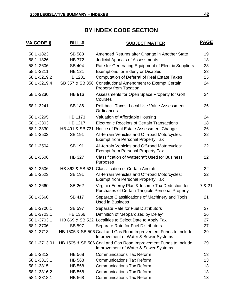| <u>VA CODE §</u> | <b>BILL#</b>    | <b>SUBJECT MATTER</b>                                                                                   | <b>PAGE</b> |
|------------------|-----------------|---------------------------------------------------------------------------------------------------------|-------------|
| 58.1-1823        | SB 583          | Amended Returns after Change in Another State                                                           | 19          |
| 58.1-1826        | <b>HB 772</b>   | <b>Judicial Appeals of Assessments</b>                                                                  | 18          |
| 58.1-2606        | <b>SB 404</b>   | Rate for Generating Equipment of Electric Suppliers                                                     | 23          |
| 58.1-3211        | <b>HB 121</b>   | <b>Exemptions for Elderly or Disabled</b>                                                               | 23          |
| 58.1-3219.2      | <b>HB 1231</b>  | <b>Computation of Deferral of Real Estate Taxes</b>                                                     | 25          |
| 58.1-3219.4      | SB 357 & SB 358 | <b>Constitutional Amendment to Exempt Certain</b><br><b>Property from Taxation</b>                      | 24          |
| 58.1-3230        | <b>HB 916</b>   | Assessments for Open Space Property for Golf<br>Courses                                                 | 24          |
| 58.1-3241        | <b>SB 186</b>   | Roll-back Taxes; Local Use Value Assessment<br>Ordinances                                               | 26          |
| 58.1-3295        | <b>HB 1173</b>  | Valuation of Affordable Housing                                                                         | 24          |
| 58.1-3303        | <b>HB 1217</b>  | <b>Electronic Receipts of Certain Transactions</b>                                                      | 18          |
| 58.1-3330        | HB 491 & SB 731 | Notice of Real Estate Assessment Change                                                                 | 26          |
| 58.1-3503        | <b>SB 191</b>   | All-terrain Vehicles and Off-road Motorcycles:<br><b>Exempt from Personal Property Tax</b>              | 22          |
| 58.1-3504        | <b>SB 191</b>   | All-terrain Vehicles and Off-road Motorcycles:<br><b>Exempt from Personal Property Tax</b>              | 22          |
| 58.1-3506        | <b>HB 327</b>   | <b>Classification of Watercraft Used for Business</b><br>Purposes                                       | 22          |
| 58.1-3506        | HB 862 & SB 521 | <b>Classification of Certain Aircraft</b>                                                               | 22          |
| 58.1-3523        | <b>SB 191</b>   | All-terrain Vehicles and Off-road Motorcycles:<br><b>Exempt from Personal Property Tax</b>              | 22          |
| 58.1-3660        | SB 262          | Virginia Energy Plan & Income Tax Deduction for<br>Purchases of Certain Tangible Personal Property      | 7 & 21      |
| 58.1-3660        | <b>SB 417</b>   | Separate Classifications of Machinery and Tools<br><b>Used in Business</b>                              | 21          |
| 58.1-3700.1      | <b>SB 597</b>   | Separate Rate for Fuel Distributors                                                                     | 27          |
| 58.1-3703.1      | <b>HB 1366</b>  | Definition of "Jeopardized by Delay"                                                                    | 26          |
| 58.1-3703.1      |                 | HB 869 & SB 522 Localities to Select Date to Apply Tax                                                  | 27          |
| 58.1-3706        | <b>SB 597</b>   | Separate Rate for Fuel Distributors                                                                     | 27          |
| 58.1-3713        |                 | HB 1505 & SB 506 Coal and Gas Road Improvement Funds to Include<br>Improvement of Water & Sewer Systems | 29          |
| 58.1-3713.01     |                 | HB 1505 & SB 506 Coal and Gas Road Improvement Funds to Include<br>Improvement of Water & Sewer Systems | 29          |
| 58.1-3812        | <b>HB 568</b>   | <b>Communications Tax Reform</b>                                                                        | 13          |
| 58.1-3813.1      | <b>HB 568</b>   | <b>Communications Tax Reform</b>                                                                        | 13          |
| 58.1-3815        | <b>HB 568</b>   | <b>Communications Tax Reform</b>                                                                        | 13          |
| 58.1-3816.2      | <b>HB 568</b>   | <b>Communications Tax Reform</b>                                                                        | 13          |
| 58.1-3818.1      | HB 568          | <b>Communications Tax Reform</b>                                                                        | 13          |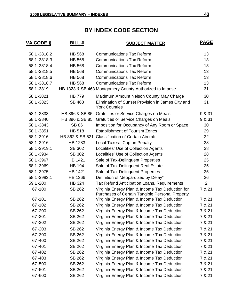| <u>VA CODE §</u> | <b>BILL#</b>    | <b>SUBJECT MATTER</b>                                                                              | <b>PAGE</b>    |
|------------------|-----------------|----------------------------------------------------------------------------------------------------|----------------|
| 58.1-3818.2      | <b>HB 568</b>   | <b>Communications Tax Reform</b>                                                                   | 13             |
| 58.1-3818.3      | <b>HB 568</b>   | <b>Communications Tax Reform</b>                                                                   | 13             |
| 58.1-3818.4      | <b>HB 568</b>   | <b>Communications Tax Reform</b>                                                                   | 13             |
| 58.1-3818.5      | <b>HB 568</b>   | <b>Communications Tax Reform</b>                                                                   | 13             |
| 58.1-3818.6      | <b>HB 568</b>   | <b>Communications Tax Reform</b>                                                                   | 13             |
| 58.1-3818.7      | <b>HB 568</b>   | <b>Communications Tax Reform</b>                                                                   | 13             |
| 58.1-3819        |                 | HB 1323 & SB 463 Montgomery County Authorized to Impose                                            | 31             |
| 58.1-3821        | <b>HB 779</b>   | Maximum Amount Nelson County May Charge                                                            | 30             |
| 58.1-3823        | <b>SB 468</b>   | Elimination of Sunset Provision in James City and<br><b>York Counties</b>                          | 31             |
| 58.1-3833        | HB 896 & SB 85  | Gratuities or Service Charges on Meals                                                             | 9 & 31         |
| 58.1-3840        | HB 896 & SB 85  | Gratuities or Service Charges on Meals                                                             | 9 & 31         |
| 58.1-3843        | <b>SB 86</b>    | Imposition for Occupancy of Any Room or Space                                                      | 30             |
| 58.1-3851        | <b>HB 518</b>   | <b>Establishment of Tourism Zones</b>                                                              | 29             |
| 58.1-3916        | HB 862 & SB 521 | <b>Classification of Certain Aircraft</b>                                                          | 22             |
| 58.1-3916        | HB 1283         | Local Taxes: Cap on Penalty                                                                        | 28             |
| 58.1-3919.1      | SB 302          | Localities' Use of Collection Agents                                                               | 28             |
| 58.1-3934        | SB 302          | Localities' Use of Collection Agents                                                               | 28             |
| 58.1-3967        | <b>HB 1421</b>  | Sale of Tax-Delinquent Properties                                                                  | 25             |
| 58.1-3969        | <b>HB 194</b>   | Sale of Tax-Delinquent Real Estate                                                                 | 25             |
| 58.1-3975        | <b>HB 1421</b>  | Sale of Tax-Delinquent Properties                                                                  | 25             |
| 58.1-3983.1      | <b>HB 1366</b>  | Definition of "Jeopardized by Delay"                                                               | 26             |
| 59.1-200         | <b>HB 324</b>   | Tax Refund Anticipation Loans, Requirements                                                        | $\overline{2}$ |
| 67-100           | SB 262          | Virginia Energy Plan & Income Tax Deduction for<br>Purchases of Certain Tangible Personal Property | 7 & 21         |
| $67 - 101$       | SB 262          | Virginia Energy Plan & Income Tax Deduction                                                        | 7 & 21         |
| 67-102           | SB 262          | Virginia Energy Plan & Income Tax Deduction                                                        | 7 & 21         |
| 67-200           | SB 262          | Virginia Energy Plan & Income Tax Deduction                                                        | 7 & 21         |
| 67-201           | SB 262          | Virginia Energy Plan & Income Tax Deduction                                                        | 7 & 21         |
| 67-202           | SB 262          | Virginia Energy Plan & Income Tax Deduction                                                        | 7 & 21         |
| 67-203           | SB 262          | Virginia Energy Plan & Income Tax Deduction                                                        | 7 & 21         |
| 67-300           | SB 262          | Virginia Energy Plan & Income Tax Deduction                                                        | 7 & 21         |
| 67-400           | SB 262          | Virginia Energy Plan & Income Tax Deduction                                                        | 7 & 21         |
| 67-401           | SB 262          | Virginia Energy Plan & Income Tax Deduction                                                        | 7 & 21         |
| 67-402           | SB 262          | Virginia Energy Plan & Income Tax Deduction                                                        | 7 & 21         |
| 67-403           | SB 262          | Virginia Energy Plan & Income Tax Deduction                                                        | 7 & 21         |
| 67-500           | SB 262          | Virginia Energy Plan & Income Tax Deduction                                                        | 7 & 21         |
| 67-501           | SB 262          | Virginia Energy Plan & Income Tax Deduction                                                        | 7 & 21         |
| 67-600           | SB 262          | Virginia Energy Plan & Income Tax Deduction                                                        | 7 & 21         |